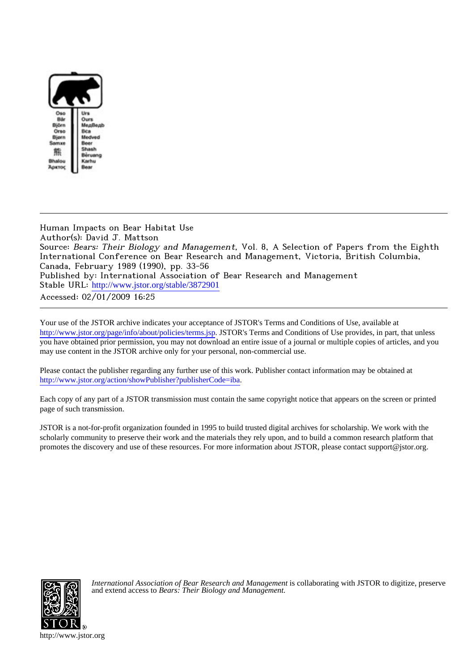

Human Impacts on Bear Habitat Use Author(s): David J. Mattson Source: Bears: Their Biology and Management, Vol. 8, A Selection of Papers from the Eighth International Conference on Bear Research and Management, Victoria, British Columbia, Canada, February 1989 (1990), pp. 33-56 Published by: International Association of Bear Research and Management Stable URL: [http://www.jstor.org/stable/3872901](http://www.jstor.org/stable/3872901?origin=JSTOR-pdf) Accessed: 02/01/2009 16:25

Your use of the JSTOR archive indicates your acceptance of JSTOR's Terms and Conditions of Use, available at <http://www.jstor.org/page/info/about/policies/terms.jsp>. JSTOR's Terms and Conditions of Use provides, in part, that unless you have obtained prior permission, you may not download an entire issue of a journal or multiple copies of articles, and you may use content in the JSTOR archive only for your personal, non-commercial use.

Please contact the publisher regarding any further use of this work. Publisher contact information may be obtained at <http://www.jstor.org/action/showPublisher?publisherCode=iba>.

Each copy of any part of a JSTOR transmission must contain the same copyright notice that appears on the screen or printed page of such transmission.

JSTOR is a not-for-profit organization founded in 1995 to build trusted digital archives for scholarship. We work with the scholarly community to preserve their work and the materials they rely upon, and to build a common research platform that promotes the discovery and use of these resources. For more information about JSTOR, please contact support@jstor.org.



*International Association of Bear Research and Management* is collaborating with JSTOR to digitize, preserve and extend access to *Bears: Their Biology and Management.*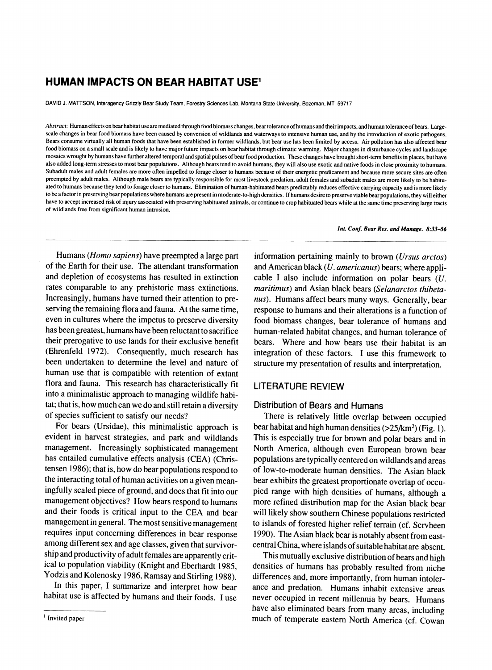# **HUMAN IMPACTS ON BEAR HABITAT USE1**

**DAVID J. MATTSON, Interagency Grizzly Bear Study Team, Forestry Sciences Lab, Montana State University, Bozeman, MT 59717** 

**Abstract: Human effects on bear habitat use are mediated through food biomass changes, bear tolerance of humans and their impacts, and human tolerance of bears. Largescale changes in bear food biomass have been caused by conversion of wildlands and waterways to intensive human use, and by the introduction of exotic pathogens. Bears consume virtually all human foods that have been established in former wildlands, but bear use has been limited by access. Air pollution has also affected bear food biomass on a small scale and is likely to have major future impacts on bear habitat through climatic warming. Major changes in disturbance cycles and landscape mosaics wrought by humans have further altered temporal and spatial pulses of bear food production. These changes have brought short-term benefits in places, but have also added long-term stresses to most bear populations. Although bears tend to avoid humans, they will also use exotic and native foods in close proximity to humans.**  Subadult males and adult females are more often impelled to forage closer to humans because of their energetic predicament and because more secure sites are often **preempted by adult males. Although male bears are typically responsible for most livestock predation, adult females and subadult males are more likely to be habituated to humans because they tend to forage closer to humans. Elimination of human-habituated bears predictably reduces effective carrying capacity and is more likely to be a factor in preserving bear populations where humans are present in moderate-to-high densities. If humans desire to preserve viable bear populations, they will either have to accept increased risk of injury associated with preserving habituated animals, or continue to crop habituated bears while at the same time preserving large tracts of wildlands free from significant human intrusion.** 

**Int. Conf. Bear Res. and Manage. 8:33-56** 

**Humans (Homo sapiens) have preempted a large part of the Earth for their use. The attendant transformation and depletion of ecosystems has resulted in extinction rates comparable to any prehistoric mass extinctions. Increasingly, humans have turned their attention to preserving the remaining flora and fauna. At the same time, even in cultures where the impetus to preserve diversity has been greatest, humans have been reluctant o sacrifice their prerogative to use lands for their exclusive benefit (Ehrenfeld 1972). Consequently, much research has been undertaken to determine the level and nature of human use that is compatible with retention of extant flora and fauna. This research has characteristically fit into a minimalistic approach to managing wildlife habitat; that is, how much can we do and still retain a diversity of species sufficient to satisfy our needs?** 

**For bears (Ursidae), this minimalistic approach is evident in harvest strategies, and park and wildlands management. Increasingly sophisticated management has entailed cumulative effects analysis (CEA) (Christensen 1986); that is, how do bear populations respond to the interacting total of human activities on a given meaningfully scaled piece of ground, and does that fit into our management objectives? How bears respond to humans and their foods is critical input to the CEA and bear management in general. The most sensitive management requires input concerning differences in bear response among different sex and age classes, given that survivorship and productivity of adult females are apparently critical to population viability (Knight and Eberhardt 1985, Yodzis and Kolenosky 1986, Ramsay and Stirling 1988).** 

**In this paper, I summarize and interpret how bear habitat use is affected by humans and their foods. I use** 

**information pertaining mainly to brown (Ursus arctos) and American black (U. americanus) bears; where applicable I also include information on polar bears (U. maritimus) and Asian black bears (Selanarctos thibetanus). Humans affect bears many ways. Generally, bear response to humans and their alterations is a function of food biomass changes, bear tolerance of humans and human-related habitat changes, and human tolerance of bears. Where and how bears use their habitat is an integration of these factors. I use this framework to structure my presentation of results and interpretation.** 

## **LITERATURE REVIEW**

### **Distribution of Bears and Humans**

**There is relatively little overlap between occupied bear habitat and high human densities (>25/km2) (Fig. 1). This is especially true for brown and polar bears and in North America, although even European brown bear populations are typically centered on wildlands and areas of low-to-moderate human densities. The Asian black bear exhibits the greatest proportionate overlap of occupied range with high densities of humans, although a more refined distribution map for the Asian black bear will likely show southern Chinese populations restricted to islands of forested higher relief terrain (cf. Servheen 1990). The Asian black bear is notably absent from eastcentral China, where islands of suitable habitat are absent.** 

**This mutually exclusive distribution of bears and high densities of humans has probably resulted from niche differences and, more importantly, from human intolerance and predation. Humans inhabit extensive areas never occupied in recent millennia by bears. Humans have also eliminated bears from many areas, including much of temperate eastern North America (cf. Cowan** 

**<sup>&#</sup>x27; Invited paper**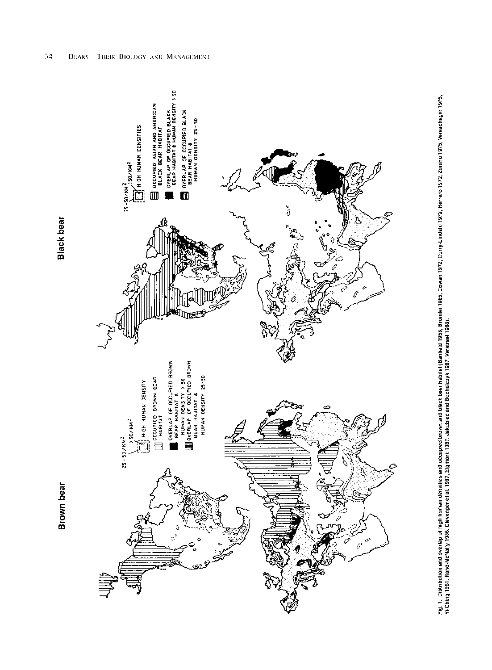Black bear

Brown bear

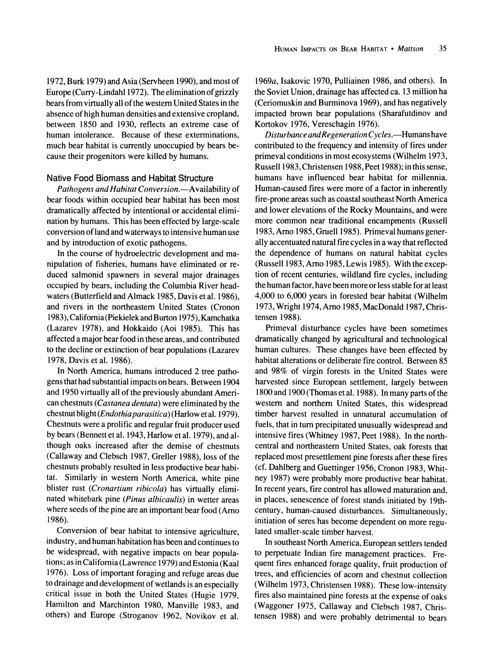**1972, Burk 1979) and Asia (Servheen 1990), and most of Europe (Curry-Lindahl 1972). The elimination of grizzly bears from virtually all of the western United States in the absence of high human densities and extensive cropland, between 1850 and 1930, reflects an extreme case of human intolerance. Because of these exterminations, much bear habitat is currently unoccupied by bears because their progenitors were killed by humans.** 

#### **Native Food Biomass and Habitat Structure**

**Pathogens and Habitat Conversion.—Availability of bear foods within occupied bear habitat has been most dramatically affected by intentional or accidental elimination by humans. This has been effected by large-scale conversion of land and waterways to intensive human use and by introduction of exotic pathogens.** 

**In the course of hydroelectric development and manipulation of fisheries, humans have eliminated or reduced salmonid spawners in several major drainages occupied by bears, including the Columbia River headwaters (Butterfield and Almack 1985, Davis et al. 1986), and rivers in the northeastern United States (Cronon 1983), California (Piekielek and Burton 1975), Kamchatka (Lazarev 1978), and Hokkaido (Aoi 1985). This has affected a major bear food in these areas, and contributed to the decline or extinction of bear populations (Lazarev 1978, Davis et al. 1986).** 

**In North America, humans introduced 2 tree pathogens that had substantial impacts on bears. Between 1904 and 1950 virtually all of the previously abundant American chestnuts (Castanea dentata) were eliminated by the chestnut blight (Endothiaparasitica) (Harlow et al. 1979). Chestnuts were a prolific and regular fruit producer used by bears (Bennett et al. 1943, Harlow et al. 1979), and although oaks increased after the demise of chestnuts (Callaway and Clebsch 1987, Greller 1988), loss of the chestnuts probably resulted in less productive bear habitat. Similarly in western North America, white pine blister rust (Cronartium ribicola) has virtually eliminated whitebark pine (Pinus albicaulis) in wetter areas where seeds of the pine are an important bear food (Arno 1986).** 

**Conversion of bear habitat to intensive agriculture, industry, and human habitation has been and continues to be widespread, with negative impacts on bear populations; as in California (Lawrence 1979) and Estonia (Kaal 1976). Loss of important foraging and refuge areas due to drainage and development of wetlands is an especially critical issue in both the United States (Hugie 1979, Hamilton and Marchinton 1980, Manville 1983, and others) and Europe (Stroganov 1962, Novikov et al.** 

**1969a, Isakovic 1970, Pulliainen 1986, and others). In the Soviet Union, drainage has affected ca. 13 million ha (Ceriomuskin and Burminova 1969), and has negatively impacted brown bear populations (Sharafutdinov and Kortokov 1976, Vereschagin 1976).** 

**Disturbance andRegeneration Cycles.-Humans have contributed to the frequency and intensity of fires under primeval conditions in most ecosystems (Wilhelm 1973, Russell 1983, Christensen 1988, Peet 1988); in this sense, humans have influenced bear habitat for millennia. Human-caused fires were more of a factor in inherently fire-prone areas such as coastal southeast North America and lower elevations of the Rocky Mountains, and were more common near traditional encampments (Russell 1983, Arno 1985, Gruell 1985). Primeval humans generally accentuated natural fire cycles in a way that reflected the dependence of humans on natural habitat cycles (Russell 1983, Arno 1985, Lewis 1985). With the exception of recent centuries, wildland fire cycles, including the human factor, have been more or less stable for at least 4,000 to 6,000 years in forested bear habitat (Wilhelm 1973, Wright 1974, Arno 1985, MacDonald 1987, Christensen 1988).** 

**Primeval disturbance cycles have been sometimes dramatically changed by agricultural and technological human cultures. These changes have been effected by habitat alterations or deliberate fire control. Between 85 and 98% of virgin forests in the United States were harvested since European settlement, largely between 1800 and 1900 (Thomas et al. 1988). In many parts of the western and northern United States, this widespread timber harvest resulted in unnatural accumulation of fuels, that in turn precipitated unusually widespread and intensive fires (Whitney 1987, Peet 1988). In the northcentral and northeastern United States, oak forests that replaced most presettlement pine forests after these fires (cf. Dahlberg and Guettinger 1956, Cronon 1983, Whitney 1987) were probably more productive bear habitat. In recent years, fire control has allowed maturation and, in places, senescence of forest stands initiated by 19thcentury, human-caused disturbances. Simultaneously, initiation of seres has become dependent on more regulated smaller-scale timber harvest.** 

**In southeast North America, European settlers tended to perpetuate Indian fire management practices. Frequent fires enhanced forage quality, fruit production of trees, and efficiencies of acorn and chestnut collection (Wilhelm 1973, Christensen 1988). These low-intensity fires also maintained pine forests at the expense of oaks (Waggoner 1975, Callaway and Clebsch 1987, Christensen 1988) and were probably detrimental to bears**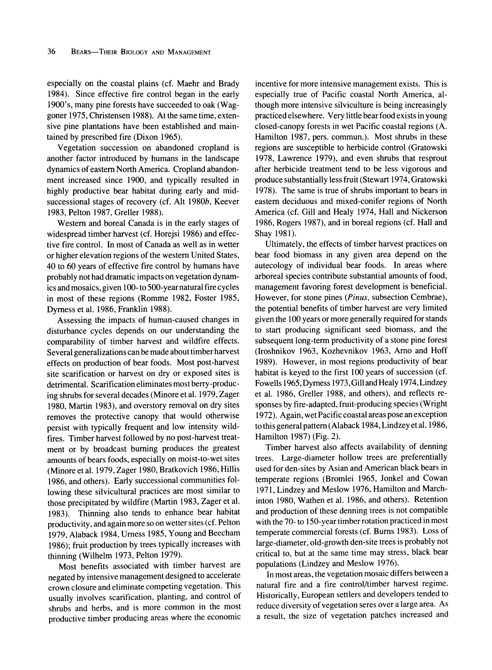**especially on the coastal plains (cf. Maehr and Brady 1984). Since effective fire control began in the early 1900's, many pine forests have succeeded to oak (Waggoner 1975, Christensen 1988). At the same time, extensive pine plantations have been established and maintained by prescribed fire (Dixon 1965).** 

**Vegetation succession on abandoned cropland is another factor introduced by humans in the landscape dynamics of eastern North America. Cropland abandonment increased since 1900, and typically resulted in highly productive bear habitat during early and midsuccessional stages of recovery (cf. Alt 1980b, Keever 1983, Pelton 1987, Greller 1988).** 

**Western and boreal Canada is in the early stages of widespread timber harvest (cf. Horejsi 1986) and effective fire control. In most of Canada as well as in wetter or higher elevation regions of the western United States, 40 to 60 years of effective fire control by humans have probably not had dramatic impacts on vegetation dynamics and mosaics, given 100- to 500-year natural fire cycles in most of these regions (Romme 1982, Foster 1985, Dymess et al. 1986, Franklin 1988).** 

**Assessing the impacts of human-caused changes in disturbance cycles depends on our understanding the comparability of timber harvest and wildfire effects. Several generalizations can be made about timber harvest effects on production of bear foods. Most post-harvest site scarification or harvest on dry or exposed sites is detrimental. Scarification eliminates most berry-producing shrubs for several decades (Minore et al. 1979, Zager 1980, Martin 1983), and overstory removal on dry sites removes the protective canopy that would otherwise persist with typically frequent and low intensity wildfires. Timber harvest followed by no post-harvest treatment or by broadcast burning produces the greatest amounts of bears foods, especially on moist-to-wet sites (Minore et al. 1979, Zager 1980, Bratkovich 1986, Hillis 1986, and others). Early successional communities following these silvicultural practices are most similar to those precipitated by wildfire (Martin 1983, Zager et al. 1983). Thinning also tends to enhance bear habitat productivity, and again more so on wetter sites (cf. Pelton 1979, Alaback 1984, Uress 1985, Young and Beecham 1986); fruit production by trees typically increases with thinning (Wilhelm 1973, Pelton 1979).** 

**Most benefits associated with timber harvest are negated by intensive management designed to accelerate crown closure and eliminate competing vegetation. This usually involves scarification, planting, and control of shrubs and herbs, and is more common in the most productive timber producing areas where the economic**  **incentive for more intensive management exists. This is especially true of Pacific coastal North America, although more intensive silviculture is being increasingly practiced elsewhere. Very little bear food exists in young closed-canopy forests in wet Pacific coastal regions (A. Hamilton 1987, pers. commun.). Most shrubs in these regions are susceptible to herbicide control (Gratowski 1978, Lawrence 1979), and even shrubs that resprout after herbicide treatment tend to be less vigorous and produce substantially less fruit (Stewart 1974, Gratowski 1978). The same is true of shrubs important to bears in eastern deciduous and mixed-conifer regions of North America (cf. Gill and Healy 1974, Hall and Nickerson 1986, Rogers 1987), and in boreal regions (cf. Hall and Shay 1981).** 

**Ultimately, the effects of timber harvest practices on bear food biomass in any given area depend on the autecology of individual bear foods. In areas where arboreal species contribute substantial amounts of food, management favoring forest development is beneficial. However, for stone pines (Pinus, subsection Cembrae), the potential benefits of timber harvest are very limited given the 100 years or more generally required for stands to start producing significant seed biomass, and the subsequent long-term productivity of a stone pine forest (Iroshnikov 1963, Kozhevnikov 1963, Arno and Hoff 1989). However, in most regions productivity of bear habitat is keyed to the first 100 years of succession (cf. Fowells 1965, Dyrness 1973, Gill and Healy 1974, Lindzey et al. 1986, Greller 1988, and others), and reflects responses by fire-adapted, fruit-producing species (Wright 1972). Again, wet Pacific coastal areas pose an exception to this general pattern (Alaback 1984, Lindzey et al. 1986, Hamilton 1987) (Fig. 2).** 

**Timber harvest also affects availability of denning trees. Large-diameter hollow trees are preferentially used for den-sites by Asian and American black bears in temperate regions (Bromlei 1965, Jonkel and Cowan 1971, Lindzey and Meslow 1976, Hamilton and Marchinton 1980, Wathen et al. 1986, and others). Retention and production of these denning trees is not compatible with the 70- to 150-year timber rotation practiced in most temperate commercial forests (cf. Burns 1983). Loss of large-diameter, old-growth den-site trees is probably not critical to, but at the same time may stress, black bear populations (Lindzey and Meslow 1976).** 

**In most areas, the vegetation mosaic differs between a natural fire and a fire control/timber harvest regime. Historically, European settlers and developers tended to reduce diversity of vegetation seres over a large area. As a result, the size of vegetation patches increased and**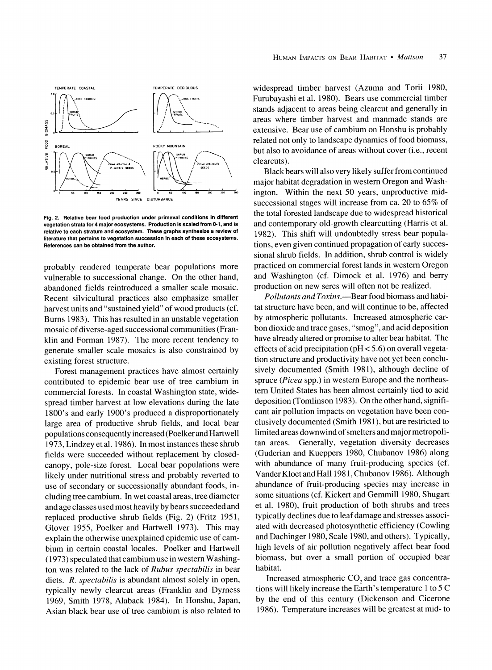

**Fig. 2. Relative bear food production under primeval conditions in different vegetation strata for 4 major ecosystems. Production is scaled from 0-1, and is relative to each stratum and ecosystem. These graphs synthesize a review of literature that pertains to vegetation succession in each of these ecosystems. References can be obtained from the author.** 

**probably rendered temperate bear populations more vulnerable to successional change. On the other hand, abandoned fields reintroduced a smaller scale mosaic. Recent silvicultural practices also emphasize smaller harvest units and "sustained yield" of wood products (cf. Bums 1983). This has resulted in an unstable vegetation mosaic of diverse-aged successional communities (Franklin and Forman 1987). The more recent tendency to generate smaller scale mosaics is also constrained by existing forest structure.** 

**Forest management practices have almost certainly contributed to epidemic bear use of tree cambium in commercial forests. In coastal Washington state, widespread timber harvest at low elevations during the late 1800's and early 1900's produced a disproportionately large area of productive shrub fields, and local bear populations consequently increased (Poelker and Hartwell 1973, Lindzey et al. 1986). In most instances these shrub fields were succeeded without replacement by closedcanopy, pole-size forest. Local bear populations were likely under nutritional stress and probably reverted to use of secondary or successionally abundant foods, including tree cambium. In wet coastal areas, tree diameter and age classes used most heavily by bears succeeded and replaced productive shrub fields (Fig. 2) (Fritz 1951, Glover 1955, Poelker and Hartwell 1973). This may explain the otherwise unexplained epidemic use of cambium in certain coastal locales. Poelker and Hartwell (1973) speculated that cambium use in western Washington was related to the lack of Rubus spectabilis in bear diets. R. spectabilis is abundant almost solely in open, typically newly clearcut areas (Franklin and Dyress 1969, Smith 1978, Alaback 1984). In Honshu, Japan, Asian black bear use of tree cambium is also related to**  **widespread timber harvest (Azuma and Torii 1980, Furubayashi et al. 1980). Bears use commercial timber stands adjacent to areas being clearcut and generally in areas where timber harvest and manmade stands are extensive. Bear use of cambium on Honshu is probably related not only to landscape dynamics of food biomass, but also to avoidance of areas without cover (i.e., recent clearcuts).** 

**Black bears will also very likely suffer from continued major habitat degradation in western Oregon and Washington. Within the next 50 years, unproductive midsuccessional stages will increase from ca. 20 to 65% of the total forested landscape due to widespread historical and contemporary old-growth clearcutting (Harris et al. 1982). This shift will undoubtedly stress bear populations, even given continued propagation of early successional shrub fields. In addition, shrub control is widely practiced on commercial forest lands in western Oregon and Washington (cf. Dimock et al. 1976) and berry production on new seres will often not be realized.** 

**Pollutants and Toxins.-Bear food biomass and habitat structure have been, and will continue to be, affected by atmospheric pollutants. Increased atmospheric carbon dioxide and trace gases, "smog", and acid deposition have already altered or promise to alter bear habitat. The effects of acid precipitation (pH < 5.6) on overall vegetation structure and productivity have not yet been conclusively documented (Smith 1981), although decline of spruce (Picea spp.) in western Europe and the northeastern United States has been almost certainly tied to acid deposition (Tomlinson 1983). On the other hand, significant air pollution impacts on vegetation have been conclusively documented (Smith 1981), but are restricted to limited areas downwind of smelters and major metropolitan areas. Generally, vegetation diversity decreases (Guderian and Kueppers 1980, Chubanov 1986) along with abundance of many fruit-producing species (cf. Vander Kloet and Hall 1981, Chubanov 1986). Although abundance of fruit-producing species may increase in some situations (cf. Kickert and Gemmill 1980, Shugart et al. 1980), fruit production of both shrubs and trees typically declines due to leaf damage and stresses associated with decreased photosynthetic efficiency (Cowling and Dachinger 1980, Scale 1980, and others). Typically, high levels of air pollution negatively affect bear food biomass, but over a small portion of occupied bear habitat.** 

Increased atmospheric CO<sub>2</sub> and trace gas concentra**tions will likely increase the Earth's temperature 1 to 5 C by the end of this century (Dickenson and Cicerone 1986). Temperature increases will be greatest at mid- to**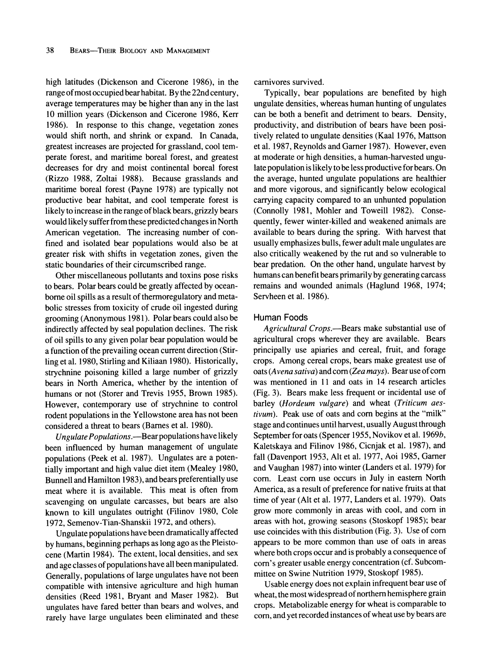**high latitudes (Dickenson and Cicerone 1986), in the range ofmost occupied bear habitat. By the 22nd century, average temperatures may be higher than any in the last 10 million years (Dickenson and Cicerone 1986, Kerr 1986). In response to this change, vegetation zones would shift north, and shrink or expand. In Canada, greatest increases are projected for grassland, cool temperate forest, and maritime boreal forest, and greatest decreases for dry and moist continental boreal forest (Rizzo 1988, Zoltai 1988). Because grasslands and maritime boreal forest (Payne 1978) are typically not productive bear habitat, and cool temperate forest is likely to increase in the range of black bears, grizzly bears would likely suffer from these predicted changes in North American vegetation. The increasing number of confined and isolated bear populations would also be at greater risk with shifts in vegetation zones, given the static boundaries of their circumscribed range.** 

**Other miscellaneous pollutants and toxins pose risks to bears. Polar bears could be greatly affected by oceanborne oil spills as a result of thermoregulatory and metabolic stresses from toxicity of crude oil ingested during grooming (Anonymous 1981). Polar bears could also be indirectly affected by seal population declines. The risk of oil spills to any given polar bear population would be a function of the prevailing ocean current direction (Stirling et al. 1980, Stirling and Kiliaan 1980). Historically, strychnine poisoning killed a large number of grizzly bears in North America, whether by the intention of humans or not (Storer and Trevis 1955, Brown 1985). However, contemporary use of strychnine to control rodent populations in the Yellowstone area has not been**  considered a threat to bears (Barnes et al. 1980).

**Ungulate Populations.-Bear populations have likely been influenced by human management of ungulate populations (Peek et al. 1987). Ungulates are a potentially important and high value diet item (Mealey 1980, Bunnell and Hamilton 1983), and bears preferentially use meat where it is available. This meat is often from scavenging on ungulate carcasses, but bears are also known to kill ungulates outright (Filinov 1980, Cole 1972, Semenov-Tian-Shanskii 1972, and others).** 

**Ungulate populations have been dramatically affected by humans, beginning perhaps as long ago as the Pleistocene (Martin 1984). The extent, local densities, and sex and age classes of populations have all been manipulated. Generally, populations of large ungulates have not been compatible with intensive agriculture and high human densities (Reed 1981, Bryant and Maser 1982). But ungulates have fared better than bears and wolves, and rarely have large ungulates been eliminated and these** 

**carnivores survived.** 

**Typically, bear populations are benefited by high ungulate densities, whereas human hunting of ungulates can be both a benefit and detriment to bears. Density, productivity, and distribution of bears have been positively related to ungulate densities (Kaal 1976, Mattson**  et al. 1987, Reynolds and Garner 1987). However, even **at moderate or high densities, a human-harvested ungulate population is likely to be less productive for bears. On the average, hunted ungulate populations are healthier and more vigorous, and significantly below ecological carrying capacity compared to an unhunted population (Connolly 1981, Mohler and Toweill 1982). Consequently, fewer winter-killed and weakened animals are available to bears during the spring. With harvest that usually emphasizes bulls, fewer adult male ungulates are also critically weakened by the rut and so vulnerable to bear predation. On the other hand, ungulate harvest by humans can benefit bears primarily by generating carcass remains and wounded animals (Haglund 1968, 1974; Servheen et al. 1986).** 

#### **Human Foods**

Agricultural Crops.—Bears make substantial use of **agricultural crops wherever they are available. Bears principally use apiaries and cereal, fruit, and forage crops. Among cereal crops, bears make greatest use of oats (Avena sativa) and corn (Zea mays). Bear use of corn was mentioned in 11 and oats in 14 research articles (Fig. 3). Bears make less frequent or incidental use of barley (Hordeum vulgare) and wheat (Triticum aestivum). Peak use of oats and corn begins at the "milk" stage and continues until harvest, usually August through September for oats (Spencer 1955, Novikov et al. 1969b, Kaletskaya and Filinov 1986, Cicnjak et al. 1987), and fall (Davenport 1953, Alt et al. 1977, Aoi 1985, Garer and Vaughan 1987) into winter (Landers et al. 1979) for corn. Least corn use occurs in July in eastern North America, as a result of preference for native fruits at that time of year (Alt et al. 1977, Landers et al. 1979). Oats grow more commonly in areas with cool, and corn in areas with hot, growing seasons (Stoskopf 1985); bear use coincides with this distribution (Fig. 3). Use of corn appears to be more common than use of oats in areas where both crops occur and is probably a consequence of corn's greater usable energy concentration (cf. Subcommittee on Swine Nutrition 1979, Stoskopf 1985).** 

**Usable energy does not explain infrequent bear use of wheat, the most widespread of northern hemisphere grain crops. Metabolizable energy for wheat is comparable to corn, and yet recorded instances of wheat use by bears are**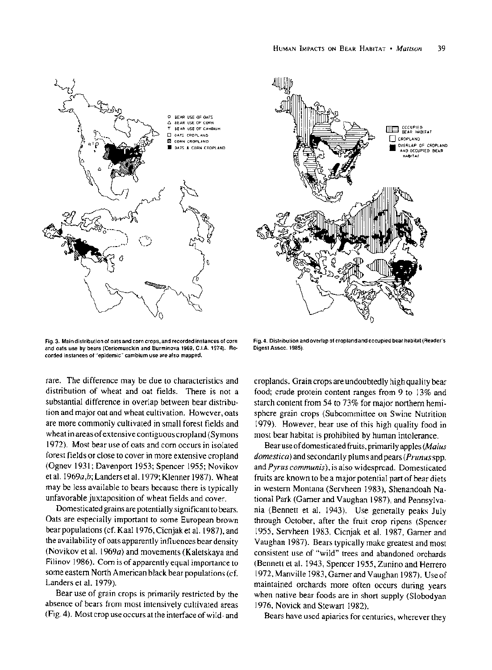

**Fig. 3. Main distribution of oats and corn crops, and recorded instances of corn and oats use by bears (Ceriomusckin and Burminova 1969, C.I.A. 1974). Recorded instances of "epidemic" cambium use are also mapped.** 

**rare. The difference may be due to characteristics and distribution of wheat and oat fields. There is not a substantial difference in overlap between bear distribution and major oat and wheat cultivation. However, oats are more commonly cultivated in small forest fields and wheat in areas of extensive contiguous cropland (Symons 1972). Most bear use of oats and corn occurs in isolated forest fields or close to cover in more extensive cropland (Ognev 1931; Davenport 1953; Spencer 1955; Novikov et al. 1969a,b; Landers et al. 1979; Klenner 1987). Wheat may be less available to bears because there is typically unfavorable juxtaposition of wheat fields and cover.** 

**Domesticated grains are potentially significant to bears. Oats are especially important to some European brown bear populations (cf. Kaal 1976, Cicnjak et al. 1987), and the availability of oats apparently influences bear density (Novikov et al. 1969a) and movements (Kaletskaya and Filinov 1986). Corn is of apparently equal importance to some eastern North American black bear populations (cf. Landers et al. 1979).** 

**Bear use of grain crops is primarily restricted by the absence of bears from most intensively cultivated areas (Fig. 4). Most crop use occurs at the interface of wild- and** 



**Fig. 4. Distribution and overlap of cropland and occupied bear habitat (Reader's Digest Assoc. 1985).** 

**croplands. Grain crops are undoubtedly high quality bear food; crude protein content ranges from 9 to 13% and starch content from 54 to 73% for major northern hemisphere grain crops (Subcommittee on Swine Nutrition 1979). However, bear use of this high quality food in most bear habitat is prohibited by human intolerance.** 

**Bear use of domesticated fruits, primarily apples (Malus domestica) and secondarily plums and pears (Prunus spp. and Pyrus communis), is also widespread. Domesticated fruits are known to be a major potential part of bear diets in western Montana (Servheen 1983), Shenandoah Na**tional Park (Garner and Vaughan 1987), and Pennsylva**nia (Bennett et al. 1943). Use generally peaks July through October, after the fruit crop ripens (Spencer**  1955, Servheen 1983, Cicnjak et al. 1987, Garner and **Vaughan 1987). Bears typically make greatest and most consistent use of "wild" trees and abandoned orchards (Bennett et al. 1943, Spencer 1955, Zunino and Herrero 1972, Manville 1983, Garer and Vaughan 1987). Use of maintained orchards more often occurs during years when native bear foods are in short supply (Slobodyan 1976, Novick and Stewart 1982).** 

**Bears have used apiaries for centuries, wherever they**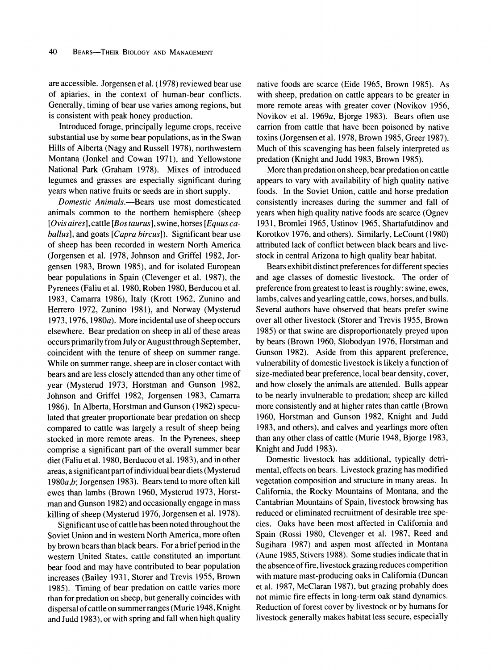**are accessible. Jorgensen et al. (1978) reviewed bear use of apiaries, in the context of human-bear conflicts. Generally, timing of bear use varies among regions, but is consistent with peak honey production.** 

**Introduced forage, principally legume crops, receive substantial use by some bear populations, as in the Swan Hills of Alberta (Nagy and Russell 1978), northwestern Montana (Jonkel and Cowan 1971), and Yellowstone National Park (Graham 1978). Mixes of introduced legumes and grasses are especially significant during years when native fruits or seeds are in short supply.** 

**Domestic Animals.-Bears use most domesticated animals common to the northern hemisphere (sheep [Ovis aires], cattle [Bos taurus], swine, horses [Equus caballus], and goats [Capra bircus]). Significant bear use of sheep has been recorded in western North America (Jorgensen et al. 1978, Johnson and Griffel 1982, Jorgensen 1983, Brown 1985), and for isolated European bear populations in Spain (Clevenger et al. 1987), the Pyrenees (Faliu et al. 1980, Roben 1980, Berducou et al. 1983, Camarra 1986), Italy (Krott 1962, Zunino and Herrero 1972, Zunino 1981), and Norway (Mysterud 1973, 1976, 1980a). More incidental use of sheep occurs elsewhere. Bear predation on sheep in all of these areas occurs primarily from July or August through September, coincident with the tenure of sheep on summer range. While on summer range, sheep are in closer contact with bears and are less closely attended than any other time of year (Mysterud 1973, Horstman and Gunson 1982, Johnson and Griffel 1982, Jorgensen 1983, Camarra 1986). In Alberta, Horstman and Gunson (1982) speculated that greater proportionate bear predation on sheep compared to cattle was largely a result of sheep being stocked in more remote areas. In the Pyrenees, sheep comprise a significant part of the overall summer bear diet (Faliu et al. 1980, Berducou et al. 1983), and in other areas, a significant part of individual bear diets (Mysterud 1980a,b; Jorgensen 1983). Bears tend to more often kill ewes than lambs (Brown 1960, Mysterud 1973, Horstman and Gunson 1982) and occasionally engage in mass killing of sheep (Mysterud 1976, Jorgensen et al. 1978).** 

**Significant use of cattle has been noted throughout the Soviet Union and in western North America, more often by brown bears than black bears. For a brief period in the western United States, cattle constituted an important bear food and may have contributed to bear population increases (Bailey 1931, Storer and Trevis 1955, Brown 1985). Timing of bear predation on cattle varies more than for predation on sheep, but generally coincides with dispersal of cattle on summer ranges (Murie 1948, Knight and Judd 1983), or with spring and fall when high quality** 

**native foods are scarce (Eide 1965, Brown 1985). As with sheep, predation on cattle appears to be greater in more remote areas with greater cover (Novikov 1956, Novikov et al. 1969a, Bjorge 1983). Bears often use carrion from cattle that have been poisoned by native toxins (Jorgensen et al. 1978, Brown 1985, Greer 1987). Much of this scavenging has been falsely interpreted as predation (Knight and Judd 1983, Brown 1985).** 

**More than predation on sheep, bear predation on cattle appears to vary with availability of high quality native foods. In the Soviet Union, cattle and horse predation consistently increases during the summer and fall of years when high quality native foods are scarce (Ognev 1931, Bromlei 1965, Ustinov 1965, Shartafutdinov and Korotkov 1976, and others). Similarly, LeCount (1980) attributed lack of conflict between black bears and livestock in central Arizona to high quality bear habitat.** 

**Bears exhibit distinct preferences for different species and age classes of domestic livestock. The order of preference from greatest to least is roughly: swine, ewes, lambs, calves and yearling cattle, cows, horses, and bulls. Several authors have observed that bears prefer swine over all other livestock (Storer and Trevis 1955, Brown 1985) or that swine are disproportionately preyed upon by bears (Brown 1960, Slobodyan 1976, Horstman and Gunson 1982). Aside from this apparent preference, vulnerability of domestic livestock is likely a function of size-mediated bear preference, local bear density, cover, and how closely the animals are attended. Bulls appear to be nearly invulnerable to predation; sheep are killed more consistently and at higher rates than cattle (Brown 1960, Horstman and Gunson 1982, Knight and Judd 1983, and others), and calves and yearlings more often than any other class of cattle (Murie 1948, Bjorge 1983, Knight and Judd 1983).** 

**Domestic livestock has additional, typically detrimental, effects on bears. Livestock grazing has modified vegetation composition and structure in many areas. In California, the Rocky Mountains of Montana, and the Cantabrian Mountains of Spain, livestock browsing has reduced or eliminated recruitment of desirable tree species. Oaks have been most affected in California and Spain (Rossi 1980, Clevenger et al. 1987, Reed and Sugihara 1987) and aspen most affected in Montana (Aune 1985, Stivers 1988). Some studies indicate that in the absence of fire, livestock grazing reduces competition with mature mast-producing oaks in California (Duncan et al. 1987, McClaran 1987), but grazing probably does not mimic fire effects in long-term oak stand dynamics. Reduction of forest cover by livestock or by humans for livestock generally makes habitat less secure, especially**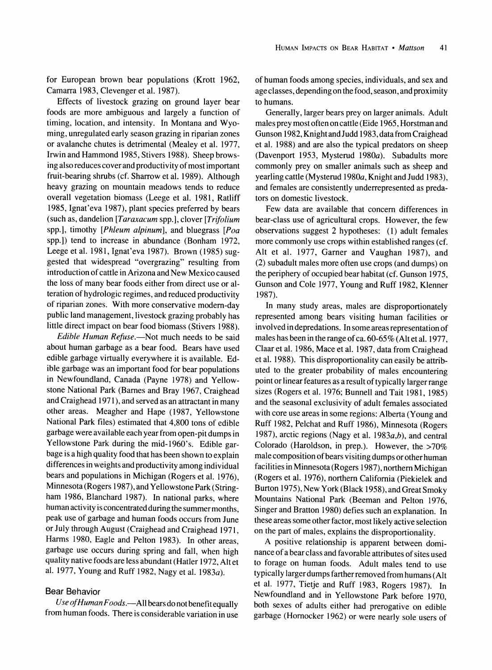**for European brown bear populations (Krott 1962, Camarra 1983, Clevenger et al. 1987).** 

**Effects of livestock grazing on ground layer bear foods are more ambiguous and largely a function of timing, location, and intensity. In Montana and Wyoming, unregulated early season grazing in riparian zones or avalanche chutes is detrimental (Mealey et al. 1977, Irwin and Hammond 1985, Stivers 1988). Sheep browsing also reduces cover and productivity of most important fruit-bearing shrubs (cf. Sharrow et al. 1989). Although heavy grazing on mountain meadows tends to reduce overall vegetation biomass (Leege et al. 1981, Ratliff 1985, Ignat'eva 1987), plant species preferred by bears (such as, dandelion [Taraxacum spp.], clover [Trifolium spp.], timothy [Phleum alpinum], and bluegrass [Poa spp.]) tend to increase in abundance (Bonham 1972, Leege et al. 1981, Ignat'eva 1987). Brown (1985) suggested that widespread "overgrazing" resulting from introduction of cattle in Arizona and New Mexico caused the loss of many bear foods either from direct use or alteration of hydrologic regimes, and reduced productivity of riparian zones. With more conservative modem-day public land management, livestock grazing probably has little direct impact on bear food biomass (Stivers 1988).** 

Edible Human Refuse.—Not much needs to be said **about human garbage as a bear food. Bears have used edible garbage virtually everywhere it is available. Edible garbage was an important food for bear populations in Newfoundland, Canada (Payne 1978) and Yellowstone National Park (Bames and Bray 1967, Craighead and Craighead 1971), and served as an attractant in many other areas. Meagher and Hape (1987, Yellowstone National Park files) estimated that 4,800 tons of edible garbage were available each year from open-pit dumps in Yellowstone Park during the mid-1960's. Edible garbage is a high quality food that has been shown to explain differences in weights and productivity among individual bears and populations in Michigan (Rogers et al. 1976), Minnesota (Rogers 1987), and Yellowstone Park (Stringham 1986, Blanchard 1987). In national parks, where human activity is concentrated during the summer months, peak use of garbage and human foods occurs from June or July through August (Craighead and Craighead 1971, Harms 1980, Eagle and Pelton 1983). In other areas, garbage use occurs during spring and fall, when high quality native foods are less abundant (Hatler 1972, Alt et al. 1977, Young and Ruff 1982, Nagy et al. 1983a).** 

# **Bear Behavior**

**Use ofHuman Foods.-All bears do not benefit equally from human foods. There is considerable variation in use**  **of human foods among species, individuals, and sex and age classes, depending on the food, season, and proximity to humans.** 

**Generally, larger bears prey on larger animals. Adult males prey most often on cattle (Eide 1965, Horstman and Gunson 1982, Knight and Judd 1983, data from Craighead et al. 1988) and are also the typical predators on sheep (Davenport 1953, Mysterud 1980a). Subadults more commonly prey on smaller animals such as sheep and yearling cattle (Mysterud 1980a, Knight and Judd 1983), and females are consistently underrepresented as predators on domestic livestock.** 

**Few data are available that concern differences in bear-class use of agricultural crops. However, the few observations suggest 2 hypotheses: (1) adult females more commonly use crops within established ranges (cf. Alt et al. 1977, Garner and Vaughan 1987), and (2) subadult males more often use crops (and dumps) on the periphery of occupied bear habitat (cf. Gunson 1975, Gunson and Cole 1977, Young and Ruff 1982, Klenner 1987).** 

**In many study areas, males are disproportionately represented among bears visiting human facilities or involved in depredations. In some areas representation of males has been in the range of ca. 60-65% (Alt et al. 1977, Claar et al. 1986, Mace et al. 1987, data from Craighead et al. 1988). This disproportionality can easily be attributed to the greater probability of males encountering point or linear features as a result of typically larger range sizes (Rogers et al. 1976; Bunnell and Tait 1981, 1985) and the seasonal exclusivity of adult females associated with core use areas in some regions: Alberta (Young and Ruff 1982, Pelchat and Ruff 1986), Minnesota (Rogers 1987), arctic regions (Nagy et al. 1983a,b), and central Colorado (Haroldson, in prep.). However, the >70% male composition of bears visiting dumps or other human facilities in Minnesota (Rogers 1987), northern Michigan (Rogers et al. 1976), northern California (Piekielek and Burton 1975), New York (Black 1958), and Great Smoky Mountains National Park (Beeman and Pelton 1976, Singer and Bratton 1980) defies such an explanation. In these areas some other factor, most likely active selection on the part of males, explains the disproportionality.** 

**A positive relationship is apparent between dominance of a bear class and favorable attributes of sites used to forage on human foods. Adult males tend to use typically larger dumps farther removed from humans (Alt et al. 1977, Tietje and Ruff 1983, Rogers 1987). In Newfoundland and in Yellowstone Park before 1970, both sexes of adults either had prerogative on edible garbage (Hornocker 1962) or were nearly sole users of**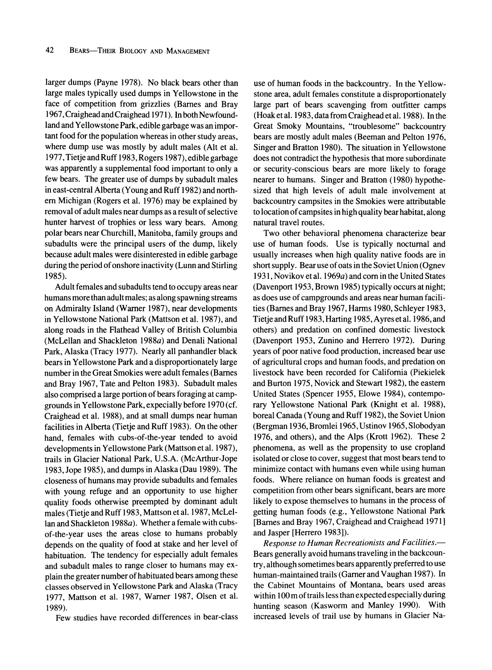**larger dumps (Payne 1978). No black bears other than large males typically used dumps in Yellowstone in the face of competition from grizzlies (Barnes and Bray 1967, Craighead and Craighead 1971). In both Newfoundland and Yellowstone Park, edible garbage was an important food for the population whereas in other study areas, where dump use was mostly by adult males (Alt et al. 1977, Tietje and Ruff 1983, Rogers 1987), edible garbage was apparently a supplemental food important to only a few bears. The greater use of dumps by subadult males in east-central Alberta (Young and Ruff 1982) and northern Michigan (Rogers et al. 1976) may be explained by removal of adult males near dumps as a result of selective hunter harvest of trophies or less wary bears. Among polar bears near Churchill, Manitoba, family groups and subadults were the principal users of the dump, likely because adult males were disinterested in edible garbage during the period of onshore inactivity (Lunn and Stirling 1985).** 

**Adult females and subadults tend to occupy areas near humans more than adult males; as along spawning streams on Admiralty Island (Warer 1987), near developments in Yellowstone National Park (Mattson et al. 1987), and along roads in the Flathead Valley of British Columbia (McLellan and Shackleton 1988a) and Denali National Park, Alaska (Tracy 1977). Nearly all panhandler black bears in Yellowstone Park and a disproportionately large number in the Great Smokies were adult females (Barnes and Bray 1967, Tate and Pelton 1983). Subadult males also comprised a large portion of bears foraging at campgrounds in Yellowstone Park, expecially before 1970 (cf. Craighead et al. 1988), and at small dumps near human facilities in Alberta (Tietje and Ruff 1983). On the other hand, females with cubs-of-the-year tended to avoid developments in Yellowstone Park (Mattson et al. 1987), trails in Glacier National Park, U.S.A. (McArthur-Jope 1983, Jope 1985), and dumps in Alaska (Dau 1989). The closeness of humans may provide subadults and females with young refuge and an opportunity to use higher quality foods otherwise preempted by dominant adult males (Tietje and Ruff 1983, Mattson et al. 1987, McLellan and Shackleton 1988a). Whether a female with cubsof-the-year uses the areas close to humans probably depends on the quality of food at stake and her level of habituation. The tendency for especially adult females and subadult males to range closer to humans may explain the greater number of habituated bears among these classes observed in Yellowstone Park and Alaska (Tracy 1977, Mattson et al. 1987, Warner 1987, Olsen et al. 1989).** 

**Few studies have recorded differences in bear-class** 

**use of human foods in the backcountry. In the Yellowstone area, adult females constitute a disproportionately large part of bears scavenging from outfitter camps (Hoak et al. 1983, data from Craighead et al. 1988). In the Great Smoky Mountains, "troublesome" backcountry bears are mostly adult males (Beeman and Pelton 1976, Singer and Bratton 1980). The situation in Yellowstone does not contradict the hypothesis that more subordinate or security-conscious bears are more likely to forage nearer to humans. Singer and Bratton (1980) hypothesized that high levels of adult male involvement at backcountry campsites in the Smokies were attributable to location of campsites in high quality bear habitat, along natural travel routes.** 

**Two other behavioral phenomena characterize bear use of human foods. Use is typically nocturnal and usually increases when high quality native foods are in short supply. Bear use of oats in the Soviet Union (Ognev 1931, Novikov et al. 1969a) and corn in the United States (Davenport 1953, Brown 1985) typically occurs at night; as does use of campgrounds and areas near human facilities (Barnes and Bray 1967, Harms 1980, Schleyer 1983, Tietje and Ruff 1983, Harting 1985, Ayres et al. 1986, and others) and predation on confined domestic livestock (Davenport 1953, Zunino and Herrero 1972). During years of poor native food production, increased bear use of agricultural crops and human foods, and predation on livestock have been recorded for California (Piekielek and Burton 1975, Novick and Stewart 1982), the eastern United States (Spencer 1955, Elowe 1984), contemporary Yellowstone National Park (Knight et al. 1988), boreal Canada (Young and Ruff 1982), the Soviet Union (Bergman 1936, Bromlei 1965, Ustinov 1965, Slobodyan 1976, and others), and the Alps (Krott 1962). These 2 phenomena, as well as the propensity to use cropland isolated or close to cover, suggest that most bears tend to minimize contact with humans even while using human foods. Where reliance on human foods is greatest and competition from other bears significant, bears are more likely to expose themselves to humans in the process of getting human foods (e.g., Yellowstone National Park [Barnes and Bray 1967, Craighead and Craighead 1971] and Jasper [Herrero 1983]).** 

**Response to Human Recreationists and Facilities.— Bears generally avoid humans traveling in the backcountry, although sometimes bears apparently preferred to use human-maintained trails (Garner and Vaughan 1987). In the Cabinet Mountains of Montana, bears used areas within 100 m of trails less than expected especially during hunting season (Kasworm and Manley 1990). With increased levels of trail use by humans in Glacier Na-**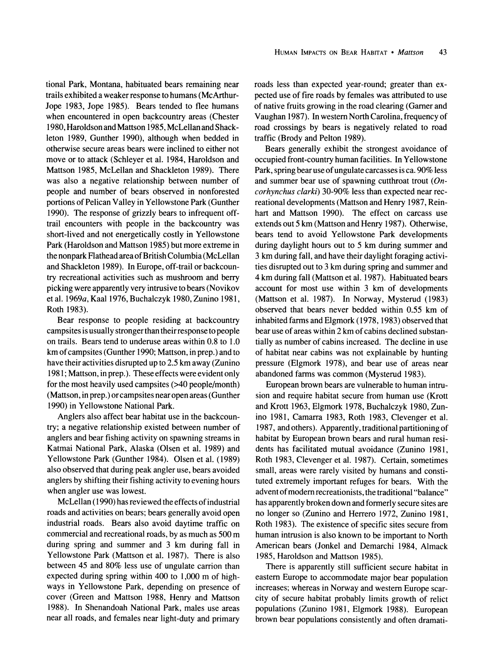**tional Park, Montana, habituated bears remaining near trails exhibited a weaker response to humans (McArthur-Jope 1983, Jope 1985). Bears tended to flee humans when encountered in open backcountry areas (Chester 1980, Haroldson and Mattson 1985, McLellan and Shackleton 1989, Gunther 1990), although when bedded in otherwise secure areas bears were inclined to either not move or to attack (Schleyer et al. 1984, Haroldson and Mattson 1985, McLellan and Shackleton 1989). There was also a negative relationship between number of people and number of bears observed in nonforested portions of Pelican Valley in Yellowstone Park (Gunther 1990). The response of grizzly bears to infrequent offtrail encounters with people in the backcountry was short-lived and not energetically costly in Yellowstone Park (Haroldson and Mattson 1985) but more extreme in the nonpark Flathead area of British Columbia (McLellan and Shackleton 1989). In Europe, off-trail or backcountry recreational activities such as mushroom and berry picking were apparently very intrusive to bears (Novikov et al. 1969a, Kaal 1976, Buchalczyk 1980, Zunino 1981, Roth 1983).** 

**Bear response to people residing at backcountry campsites is usually stronger than their response to people on trails. Bears tend to underuse areas within 0.8 to 1.0 km of campsites (Gunther 1990; Mattson, in prep.) and to have their activities disrupted up to 2.5 km away (Zunino 1981; Mattson, in prep.). These effects were evident only for the most heavily used campsites (>40 people/month) (Mattson, in prep.) or campsites near open areas (Gunther 1990) in Yellowstone National Park.** 

**Anglers also affect bear habitat use in the backcountry; a negative relationship existed between number of anglers and bear fishing activity on spawning streams in Katmai National Park, Alaska (Olsen et al. 1989) and Yellowstone Park (Gunther 1984). Olsen et al. (1989) also observed that during peak angler use, bears avoided anglers by shifting their fishing activity to evening hours when angler use was lowest.** 

**McLellan (1990) has reviewed the effects of industrial roads and activities on bears; bears generally avoid open industrial roads. Bears also avoid daytime traffic on commercial and recreational roads, by as much as 500 m during spring and summer and 3 km during fall in Yellowstone Park (Mattson et al. 1987). There is also between 45 and 80% less use of ungulate carrion than expected during spring within 400 to 1,000 m of highways in Yellowstone Park, depending on presence of cover (Green and Mattson 1988, Henry and Mattson 1988). In Shenandoah National Park, males use areas near all roads, and females near light-duty and primary** 

**roads less than expected year-round; greater than expected use of fire roads by females was attributed to use of native fruits growing in the road clearing (Garner and Vaughan 1987). In western North Carolina, frequency of road crossings by bears is negatively related to road traffic (Brody and Pelton 1989).** 

**Bears generally exhibit the strongest avoidance of occupied front-country human facilities. In Yellowstone Park, spring bear use of ungulate carcasses is ca. 90% less and summer bear use of spawning cutthroat trout (Oncorhynchus clarki) 30-90% less than expected near recreational developments (Mattson and Henry 1987, Reinhart and Mattson 1990). The effect on carcass use extends out 5 km (Mattson and Henry 1987). Otherwise, bears tend to avoid Yellowstone Park developments during daylight hours out to 5 km during summer and 3 km during fall, and have their daylight foraging activities disrupted out to 3 km during spring and summer and 4 km during fall (Mattson et al. 1987). Habituated bears account for most use within 3 km of developments (Mattson et al. 1987). In Norway, Mysterud (1983) observed that bears never bedded within 0.55 km of inhabited farms and Elgmork (1978, 1983) observed that bear use of areas within 2 km of cabins declined substantially as number of cabins increased. The decline in use of habitat near cabins was not explainable by hunting pressure (Elgmork 1978), and bear use of areas near abandoned farms was common (Mysterud 1983).** 

**European brown bears are vulnerable to human intrusion and require habitat secure from human use (Krott and Krott 1963, Elgmork 1978, Buchalczyk 1980, Zunino 1981, Camarra 1983, Roth 1983, Clevenger et al. 1987, and others). Apparently, traditional partitioning of habitat by European brown bears and rural human residents has facilitated mutual avoidance (Zunino 1981, Roth 1983, Clevenger et al. 1987). Certain, sometimes small, areas were rarely visited by humans and constituted extremely important refuges for bears. With the**  advent of modern recreationists, the traditional "balance" **has apparently broken down and formerly secure sites are no longer so (Zunino and Herrero 1972, Zunino 1981, Roth 1983). The existence of specific sites secure from human intrusion is also known to be important to North American bears (Jonkel and Demarchi 1984, Almack 1985, Haroldson and Mattson 1985).** 

**There is apparently still sufficient secure habitat in eastern Europe to accommodate major bear population increases; whereas in Norway and western Europe scarcity of secure habitat probably limits growth of relict populations (Zunino 1981, Elgmork 1988). European brown bear populations consistently and often dramati-**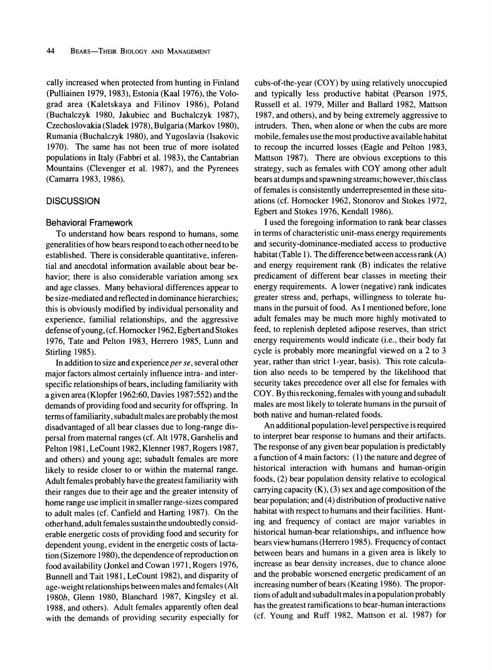**cally increased when protected from hunting in Finland (Pulliainen 1979, 1983), Estonia (Kaal 1976), the Volograd area (Kaletskaya and Filinov 1986), Poland (Buchalczyk 1980, Jakubiec and Buchalczyk 1987), Czechoslovakia (Sladek 1978), Bulgaria (Markov 1980), Rumania (Buchalczyk 1980), and Yugoslavia (Isakovic 1970). The same has not been true of more isolated populations in Italy (Fabbri et al. 1983), the Cantabrian Mountains (Clevenger et al. 1987), and the Pyrenees (Camarra 1983, 1986).** 

## **DISCUSSION**

#### **Behavioral Framework**

**To understand how bears respond to humans, sorme generalities of how bears respond to each other need to be established. There is considerable quantitative, inferential and anecdotal information available about bear behavior; there is also considerable variation among sex and age classes. Many behavioral differences appear to be size-mediated and reflected in dominance hierarchies; this is obviously modified by individual personality and experience, familial relationships, and the aggressive defense of young, (cf. Homocker 1962, Egbert and Stokes 1976, Tate and Pelton 1983, Herrero 1985, Lunn and Stirling 1985).** 

In addition to size and experience per se, several other **major factors almost certainly influence intra- and interspecific relationships of bears, including familiarity with a given area (Klopfer 1962:60, Davies 1987:552) and the demands of providing food and security for offspring. In terms of familiarity, subadult males are probably the most disadvantaged of all bear classes due to long-range dispersal from maternal ranges (cf. Alt 1978, Garshelis and Pelton 1981, LeCount 1982, Klenner 1987, Rogers 1987, and others) and young age; subadult females are more likely to reside closer to or within the maternal range. Adult females probably have the greatest familiarity with their ranges due to their age and the greater intensity of home range use implicit in smaller range-sizes compared to adult males (cf. Canfield and Harting 1987). On the other hand, adult females sustain the undoubtedly considerable energetic costs of providing food and security for dependent young, evident in the energetic costs of lactation (Sizemore 1980), the dependence of reproduction on food availability (Jonkel and Cowan 1971, Rogers 1976, Bunnell and Tait 1981, LeCount 1982), and disparity of age-weight relationships between males and females (Alt 1980b, Glenn 1980, Blanchard 1987, Kingsley et al. 1988, and others). Adult females apparently often deal with the demands of providing security especially for**  **cubs-of-the-year (COY) by using relatively unoccupied and typically less productive habitat (Pearson 1975, Russell et al. 1979, Miller and Ballard 1982, Mattson 1987, and others), and by being extremely aggressive to intruders. Then, when alone or when the cubs are more mobile, females use the most productive available habitat to recoup the incurred losses (Eagle and Pelton 1983, Mattson 1987). There are obvious exceptions to this strategy, such as females with COY among other adult bears at dumps and spawning streams; however, this class of females is consistently underrepresented in these situations (cf. Horocker 1962, Stonorov and Stokes 1972, Egbert and Stokes 1976, Kendall 1986).** 

**I used the foregoing information to rank bear classes in terms of characteristic unit-mass energy requirements and security-dominance-mediated access to productive habitat (Table 1). The difference between access rank (A) and energy requirement rank (B) indicates the relative predicament of different bear classes in meeting their energy requirements. A lower (negative) rank indicates greater stress and, perhaps, willingness to tolerate humans in the pursuit of food. As I mentioned before, lone adult females may be much more highly motivated to feed, to replenish depleted adipose reserves, than strict energy requirements would indicate (i.e., their body fat cycle is probably more meaningful viewed on a 2 to 3 year, rather than strict 1-year, basis). This rote calculation also needs to be tempered by the likelihood that security takes precedence over all else for females with COY. By this reckoning, females with young and subadult males are most likely to tolerate humans in the pursuit of both native and human-related foods.** 

**An additional population-level perspective is required to interpret bear response to humans and their artifacts. The response of any given bear population is predictably a function of 4 main factors: (1) the nature and degree of historical interaction with humans and human-origin foods, (2) bear population density relative to ecological carrying capacity (K), (3) sex and age composition of the bear population; and (4) distribution of productive native habitat with respect to humans and their facilities. Hunting and frequency of contact are major variables in historical human-bear relationships, and influence how bears view humans (Herrero 1985). Frequency of contact between bears and humans in a given area is likely to increase as bear density increases, due to chance alone and the probable worsened energetic predicament of an increasing number of bears (Keating 1986). The proportions of adult and subadult males in a population probably has the greatest ramifications to bear-human interactions (cf. Young and Ruff 1982, Mattson et al. 1987) for**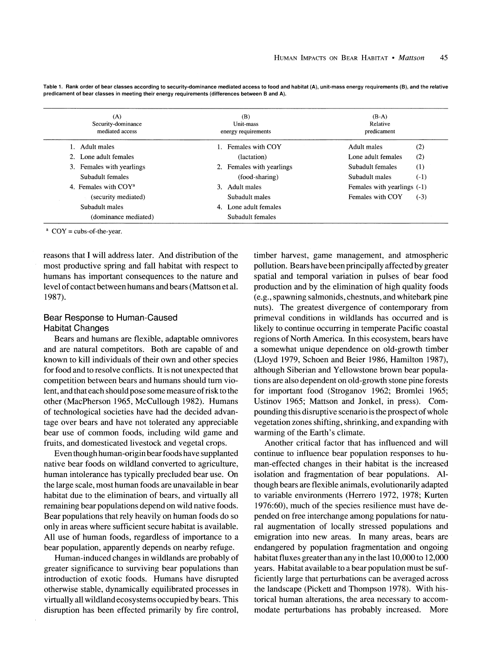| (A)<br>Security-dominance<br>mediated access | (B)<br>Unit-mass<br>energy requirements | $(B-A)$<br>Relative<br>predicament |
|----------------------------------------------|-----------------------------------------|------------------------------------|
| 1. Adult males                               | 1. Females with COY                     | Adult males<br>(2)                 |
| 2. Lone adult females                        | (lactation)                             | (2)<br>Lone adult females          |
| 3. Females with yearlings                    | 2. Females with yearlings               | (1)<br>Subadult females            |
| Subadult females                             | (food-sharing)                          | $(-1)$<br>Subadult males           |
| 4. Females with COY <sup>a</sup>             | Adult males<br>3.                       | Females with yearlings (-1)        |
| (security mediated)                          | Subadult males                          | $(-3)$<br>Females with COY         |
| Subadult males                               | Lone adult females<br>4.                |                                    |
| (dominance mediated)                         | Subadult females                        |                                    |

**Table 1. Rank order of bear classes according to security-dominance mediated access to food and habitat (A), unit-mass energy requirements (B), and the relative predicament of bear classes in meeting their energy requirements (differences between B and A).** 

**a COY = cubs-of-the-year.** 

**reasons that I will address later. And distribution of the most productive spring and fall habitat with respect to humans has important consequences to the nature and level of contact between humans and bears (Mattson et al. 1987).** 

# **Bear Response to Human-Caused Habitat Changes**

**Bears and humans are flexible, adaptable omnivores and are natural competitors. Both are capable of and known to kill individuals of their own and other species for food and to resolve conflicts. It is not unexpected that competition between bears and humans should turn violent, and that each should pose some measure of risk to the other (MacPherson 1965, McCullough 1982). Humans of technological societies have had the decided advantage over bears and have not tolerated any appreciable bear use of common foods, including wild game and fruits, and domesticated livestock and vegetal crops.** 

**Even though human-origin bear foods have supplanted native bear foods on wildland converted to agriculture, human intolerance has typically precluded bear use. On the large scale, most human foods are unavailable in bear habitat due to the elimination of bears, and virtually all remaining bear populations depend on wild native foods. Bear populations that rely heavily on human foods do so only in areas where sufficient secure habitat is available. All use of human foods, regardless of importance to a bear population, apparently depends on nearby refuge.** 

**Human-induced changes in wildlands are probably of greater significance to surviving bear populations than introduction of exotic foods. Humans have disrupted otherwise stable, dynamically equilibrated processes in virtually all wildland ecosystems occupied by bears. This disruption has been effected primarily by fire control,** 

**timber harvest, game management, and atmospheric pollution. Bears have been principally affected by greater spatial and temporal variation in pulses of bear food production and by the elimination of high quality foods (e.g., spawning salmonids, chestnuts, and whitebark pine nuts). The greatest divergence of contemporary from primeval conditions in wildlands has occurred and is likely to continue occurring in temperate Pacific coastal regions of North America. In this ecosystem, bears have a somewhat unique dependence on old-growth timber (Lloyd 1979, Schoen and Beier 1986, Hamilton 1987), although Siberian and Yellowstone brown bear populations are also dependent on old-growth stone pine forests for important food (Stroganov 1962; Bromlei 1965; Ustinov 1965; Mattson and Jonkel, in press). Compounding this disruptive scenario is the prospect of whole vegetation zones shifting, shrinking, and expanding with warming of the Earth's climate.** 

**Another critical factor that has influenced and will continue to influence bear population responses to human-effected changes in their habitat is the increased isolation and fragmentation of bear populations. Although bears are flexible animals, evolutionarily adapted to variable environments (Herrero 1972, 1978; Kurten 1976:60), much of the species resilience must have depended on free interchange among populations for natural augmentation of locally stressed populations and emigration into new areas. In many areas, bears are endangered by population fragmentation and ongoing habitat fluxes greater than any in the last 10,000 to 12,000 years. Habitat available to a bear population must be sufficiently large that perturbations can be averaged across the landscape (Pickett and Thompson 1978). With historical human alterations, the area necessary to accommodate perturbations has probably increased. More**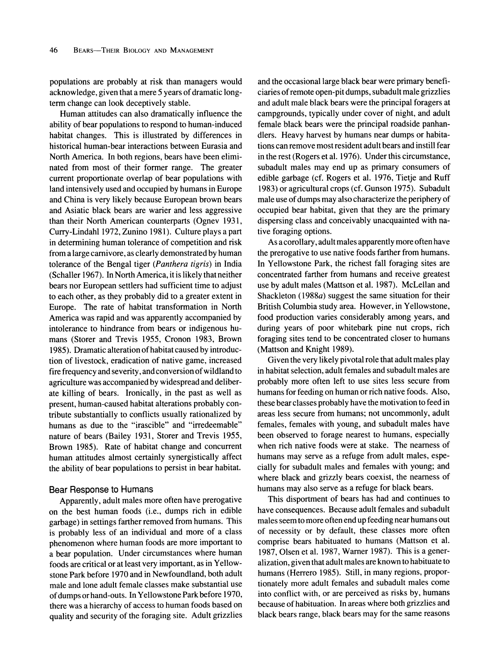**populations are probably at risk than managers would acknowledge, given that a mere 5 years of dramatic longterm change can look deceptively stable.** 

**Human attitudes can also dramatically influence the ability of bear populations to respond to human-induced habitat changes. This is illustrated by differences in historical human-bear interactions between Eurasia and North America. In both regions, bears have been eliminated from most of their former range. The greater current proportionate overlap of bear populations with land intensively used and occupied by humans in Europe and China is very likely because European brown bears and Asiatic black bears are warier and less aggressive than their North American counterparts (Ognev 1931, Curry-Lindahl 1972, Zunino 1981). Culture plays a part in determining human tolerance of competition and risk from a large carnivore, as clearly demonstrated by human tolerance of the Bengal tiger (Panthera tigris) in India (Schaller 1967). In North America, it is likely that neither bears nor European settlers had sufficient time to adjust to each other, as they probably did to a greater extent in Europe. The rate of habitat transformation in North America was rapid and was apparently accompanied by intolerance to hindrance from bears or indigenous humans (Storer and Trevis 1955, Cronon 1983, Brown 1985). Dramatic alteration of habitat caused by introduction of livestock, eradication of native game, increased fire frequency and severity, and conversion of wildland to agriculture was accompanied by widespread and deliberate killing of bears. Ironically, in the past as well as present, human-caused habitat alterations probably contribute substantially to conflicts usually rationalized by humans as due to the "irascible" and "irredeemable" nature of bears (Bailey 1931, Storer and Trevis 1955, Brown 1985). Rate of habitat change and concurrent human attitudes almost certainly synergistically affect the ability of bear populations to persist in bear habitat.** 

#### **Bear Response to Humans**

**Apparently, adult males more often have prerogative on the best human foods (i.e., dumps rich in edible garbage) in settings farther removed from humans. This is probably less of an individual and more of a class phenomenon where human foods are more important to a bear population. Under circumstances where human foods are critical or at least very important, as in Yellowstone Park before 1970 and in Newfoundland, both adult male and lone adult female classes make substantial use of dumps or hand-outs. In Yellowstone Park before 1970, there was a hierarchy of access to human foods based on quality and security of the foraging site. Adult grizzlies**  **and the occasional large black bear were primary beneficiaries of remote open-pit dumps, subadult male grizzlies and adult male black bears were the principal foragers at campgrounds, typically under cover of night, and adult female black bears were the principal roadside panhandlers. Heavy harvest by humans near dumps or habitations can remove most resident adult bears and instill fear in the rest (Rogers et al. 1976). Under this circumstance, subadult males may end up as primary consumers of edible garbage (cf. Rogers et al. 1976, Tietje and Ruff 1983) or agricultural crops (cf. Gunson 1975). Subadult male use of dumps may also characterize the periphery of occupied bear habitat, given that they are the primary dispersing class and conceivably unacquainted with native foraging options.** 

**As a corollary, adult males apparently more often have the prerogative to use native foods farther from humans. In Yellowstone Park, the richest fall foraging sites are concentrated farther from humans and receive greatest use by adult males (Mattson et al. 1987). McLellan and Shackleton (1988a) suggest the same situation for their British Columbia study area. However, in Yellowstone, food production varies considerably among years, and during years of poor whitebark pine nut crops, rich foraging sites tend to be concentrated closer to humans (Mattson and Knight 1989).** 

**Given the very likely pivotal role that adult males play in habitat selection, adult females and subadult males are probably more often left to use sites less secure from humans for feeding on human or rich native foods. Also, these bear classes probably have the motivation to feed in areas less secure from humans; not uncommonly, adult females, females with young, and subadult males have been observed to forage nearest to humans, especially when rich native foods were at stake. The nearness of humans may serve as a refuge from adult males, especially for subadult males and females with young; and where black and grizzly bears coexist, the nearness of humans may also serve as a refuge for black bears.** 

**This disportment of bears has had and continues to have consequences. Because adult females and subadult males seem to more often end up feeding near humans out of necessity or by default, these classes more often comprise bears habituated to humans (Mattson et al. 1987, Olsen et al. 1987, Warner 1987). This is a generalization, given that adult males are known to habituate to humans (Herrero 1985). Still, in many regions, proportionately more adult females and subadult males come into conflict with, or are perceived as risks by, humans because of habituation. In areas where both grizzlies and black bears range, black bears may for the same reasons**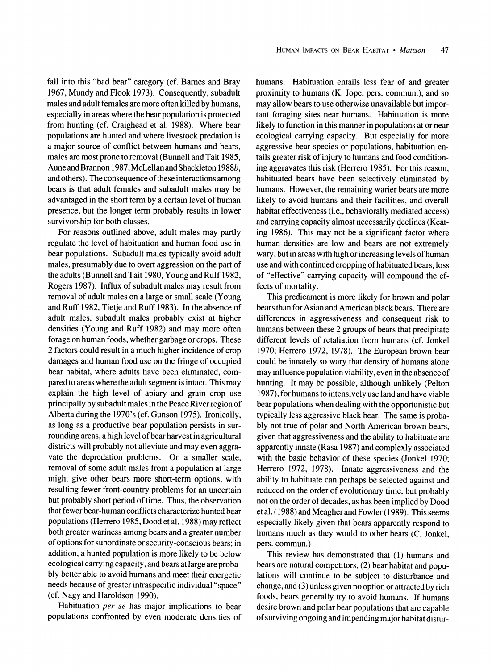**fall into this "bad bear" category (cf. Barnes and Bray 1967, Mundy and Flook 1973). Consequently, subadult males and adult females are more often killed by humans, especially in areas where the bear population is protected from hunting (cf. Craighead et al. 1988). Where bear populations are hunted and where livestock predation is a major source of conflict between humans and bears, males are most prone to removal (Bunnell and Tait 1985, Aune and Brannon 1987, McLellan and Shackleton 1988b, and others). The consequence of these interactions among bears is that adult females and subadult males may be advantaged in the short term by a certain level of human presence, but the longer term probably results in lower survivorship for both classes.** 

**For reasons outlined above, adult males may partly regulate the level of habituation and human food use in bear populations. Subadult males typically avoid adult males, presumably due to overt aggression on the part of the adults (Bunnell and Tait 1980, Young and Ruff 1982, Rogers 1987). Influx of subadult males may result from removal of adult males on a large or small scale (Young and Ruff 1982, Tietje and Ruff 1983). In the absence of adult males, subadult males probably exist at higher densities (Young and Ruff 1982) and may more often forage on human foods, whether garbage or crops. These 2 factors could result in a much higher incidence of crop damages and human food use on the fringe of occupied bear habitat, where adults have been eliminated, compared to areas where the adult segment is intact. This may explain the high level of apiary and grain crop use principally by subadult males in the Peace River region of Alberta during the 1970's (cf. Gunson 1975). Ironically, as long as a productive bear population persists in surrounding areas, a high level of bear harvest in agricultural districts will probably not alleviate and may even aggravate the depredation problems. On a smaller scale, removal of some adult males from a population at large might give other bears more short-term options, with resulting fewer front-country problems for an uncertain but probably short period of time. Thus, the observation that fewer bear-human conflicts characterize hunted bear populations (Herrero 1985, Dood et al. 1988) may reflect both greater wariness among bears and a greater number of options for subordinate or security-conscious bears; in addition, a hunted population is more likely to be below ecological carrying capacity, and bears at large are probably better able to avoid humans and meet their energetic needs because of greater intraspecific individual "space" (cf. Nagy and Haroldson 1990).** 

**Habituation per se has major implications to bear populations confronted by even moderate densities of**  **humans. Habituation entails less fear of and greater proximity to humans (K. Jope, pers. commun.), and so may allow bears to use otherwise unavailable but important foraging sites near humans. Habituation is more likely to function in this manner in populations at or near ecological carrying capacity. But especially for more aggressive bear species or populations, habituation entails greater risk of injury to humans and food conditioning aggravates this risk (Herrero 1985). For this reason, habituated bears have been selectively eliminated by humans. However, the remaining warier bears are more likely to avoid humans and their facilities, and overall habitat effectiveness (i.e., behaviorally mediated access) and carrying capacity almost necessarily declines (Keating 1986). This may not be a significant factor where human densities are low and bears are not extremely wary, but in areas with high or increasing levels of human use and with continued cropping of habituated bears, loss of "effective" carrying capacity will compound the effects of mortality.** 

**This predicament is more likely for brown and polar bears than for Asian and American black bears. There are differences in aggressiveness and consequent risk to humans between these 2 groups of bears that precipitate different levels of retaliation from humans (cf. Jonkel 1970; Herrero 1972, 1978). The European brown bear could be innately so wary that density of humans alone may influence population viability, even in the absence of hunting. It may be possible, although unlikely (Pelton 1987), for humans to intensively use land and have viable bear populations when dealing with the opportunistic but typically less aggressive black bear. The same is probably not true of polar and North American brown bears, given that aggressiveness and the ability to habituate are apparently innate (Rasa 1987) and complexly associated with the basic behavior of these species (Jonkel 1970; Herrero 1972, 1978). Innate aggressiveness and the ability to habituate can perhaps be selected against and reduced on the order of evolutionary time, but probably not on the order of decades, as has been implied by Dood et al. (1988) and Meagher and Fowler (1989). This seems especially likely given that bears apparently respond to humans much as they would to other bears (C. Jonkel, pers. commun.)** 

**This review has demonstrated that (1) humans and bears are natural competitors, (2) bear habitat and populations will continue to be subject to disturbance and change, and (3) unless given no option or attracted by rich foods, bears generally try to avoid humans. If humans desire brown and polar bear populations that are capable of surviving ongoing and impending major habitat distur-**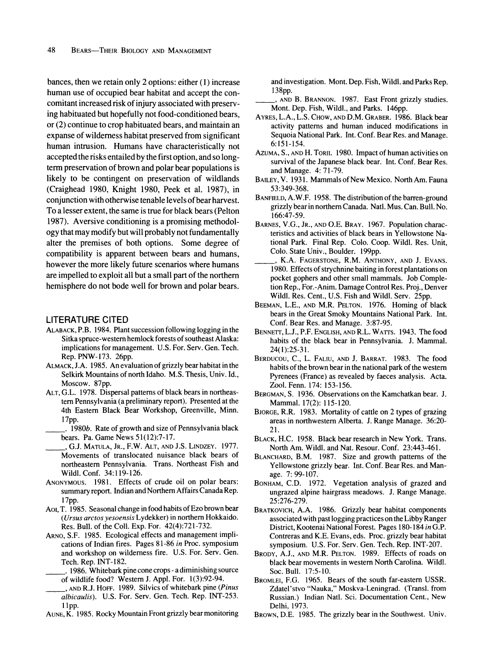**bances, then we retain only 2 options: either (1) increase human use of occupied bear habitat and accept the concomitant increased risk of injury associated with preserving habituated but hopefully not food-conditioned bears, or (2) continue to crop habituated bears, and maintain an expanse of wilderness habitat preserved from significant human intrusion. Humans have characteristically not accepted the risks entailed by the first option, and so longterm preservation of brown and polar bear populations is likely to be contingent on preservation of wildlands (Craighead 1980, Knight 1980, Peek et al. 1987), in conjunction with otherwise tenable levels of bear harvest. To a lesser extent, the same is true for black bears (Pelton 1987). Aversive conditioning is a promising methodology that may modify but will probably not fundamentally alter the premises of both options. Some degree of compatibility is apparent between bears and humans, however the more likely future scenarios where humans are impelled to exploit all but a small part of the northern hemisphere do not bode well for brown and polar bears.** 

## **LITERATURE CITED**

- **ALABACK, P.B. 1984. Plant succession following logging in the Sitka spruce-western hemlock forests of southeast Alaska: implications for management. U.S. For. Serv. Gen. Tech. Rep. PNW-173. 26pp.**
- **ALMACK, J.A. 1985. An evaluation of grizzly bear habitat in the Selkirk Mountains of north Idaho. M.S. Thesis, Univ. Id., Moscow. 87pp.**
- **ALT,G.L. 1978. Dispersal patterns of black bears in northeastern Pennsylvania (a preliminary report). Presented at the 4th Eastern Black Bear Workshop, Greenville, Minn. 17pp.** 
	- **. 1980b. Rate of growth and size of Pennsylvania black bears. Pa. Game News 51(12):7-17.**
- **\_ , G.J. MATULA, JR., F.W. ALT, AND J.S. LINDZEY. 1977. Movements of translocated nuisance black bears of northeastern Pennsylvania. Trans. Northeast Fish and Wildl. Conf. 34:119-126.**
- **ANONYMOUS. 1981. Effects of crude oil on polar bears: summary report. Indian and Northern Affairs Canada Rep. 17pp.**
- **AoI, T. 1985. Seasonal change in food habits of Ezo brown bear (Ursus arctos yesoensis Lydekker) in northern Hokkaido. Res. Bull. of the Coll. Exp. For. 42(4):721-732.**
- **ARNO, S.F. 1985. Ecological effects and management implications of Indian fires. Pages 81-86 in Proc. symposium and workshop on wilderness fire. U.S. For. Serv. Gen. Tech. Rep. INT-182.** 
	- **. 1986. Whitebark pine cone crops a diminishing source of wildlife food? Western J. Appl. For. 1(3):92-94.**
- **\_\_ , AND R.J. HOFF. 1989. Silvics of whitebark pine (Pinus albicaulis). U.S. For. Serv. Gen. Tech. Rep. INT-253. llpp.**
- **AUNE, K. 1985. Rocky Mountain Front grizzly bear monitoring**

**and investigation. Mont. Dep. Fish, Wildl. and Parks Rep. 138pp.** 

**, AND B. BRANNON. 1987. East Front grizzly studies. Mont. Dep. Fish, Wildl., and Parks. 146pp.** 

- **AYRES, L.A., L.S. CHOW, AND D.M. GRABER. 1986. Black bear activity patterns and human induced modifications in Sequoia National Park. Int. Conf. Bear Res. and Manage. 6:151-154.**
- **AZUMA, S., AND H. TORII. 1980. Impact of human activities on survival of the Japanese black bear. Int. Conf. Bear Res. and Manage. 4: 71-79.**
- **BAILEY, V. 1931. Mammals of New Mexico. North Am. Fauna 53:349-368.**
- **BANFIELD, A.W.F. 1958. The distribution of the barren-ground grizzly bear in northern Canada. Natl. Mus. Can. Bull. No. 166:47-59.**
- **BARNES, V.G., JR., AND O.E. BRAY. 1967. Population characteristics and activities of black bears in Yellowstone National Park. Final Rep. Colo. Coop. Wildl. Res. Unit, Colo. State Univ., Boulder. 199pp.**
- **, K.A. FAGERSTONE, R.M. ANTHONY, AND J. EVANS. 1980. Effects of strychnine baiting in forest plantations on pocket gophers and other small mammals. Job Completion Rep., For.-Anim. Damage Control Res. Proj., Denver Wildl. Res. Cent., U.S. Fish and Wildl. Serv. 25pp.**
- **BEEMAN, L.E., AND M.R. PELTON. 1976. Homing of black bears in the Great Smoky Mountains National Park. Int. Conf. Bear Res. and Manage. 3:87-95.**
- **BENNETT, L.J., P.F. ENGLISH, AND R.L. WArrS. 1943. The food habits of the black bear in Pennsylvania. J. Mammal. 24(1):25-31.**
- **BERDUCOU, C., L. FALIU, AND J. BARRAT. 1983. The food habits of the brown bear in the national park of the western Pyrenees (France) as revealed by faeces analysis. Acta. Zool. Fenn. 174: 153-156.**
- **BERGMAN, S. 1936. Observations on the Kamchatkan bear. J. Mammal. 17(2): 115-120.**
- **BJORGE, R.R. 1983. Mortality of cattle on 2 types of grazing areas in northwestern Alberta. J. Range Manage. 36:20- 21.**
- **BLACK, H.C. 1958. Black bear research in New York. Trans. North Am. Wildl. and Nat. Resour. Conf. 23:443-461.**
- **BLANCHARD, B.M. 1987. Size and growth patterns of the Yellowstone grizzly bear. Int. Conf. Bear Res. and Manage. 7: 99-107.**
- **BONHAM, C.D. 1972. Vegetation analysis of grazed and ungrazed alpine hairgrass meadows. J. Range Manage. 25:276-279.**
- **BRATKOVICH, A.A. 1986. Grizzly bear habitat components associated with past logging practices on the Libby Ranger District, Kootenai National Forest. Pages 180-184 in G.P. Contreras and K.E. Evans, eds. Proc. grizzly bear habitat symposium. U.S. For. Serv. Gen. Tech. Rep. INT-207.**
- **BRODY, A.J., AND M.R. PELTON. 1989. Effects of roads on black bear movements in western North Carolina. Wildl. Soc.Bull. 17:5-10.**
- **BROMLEI, F.G. 1965. Bears of the south far-eastern USSR. Zdatel'stvo "Nauka," Moskva-Leningrad. (Transl. from Russian.) Indian Natl. Sci. Documentation Cent., New Delhi, 1973.**
- **BROWN, D.E. 1985. The grizzly bear in the Southwest. Univ.**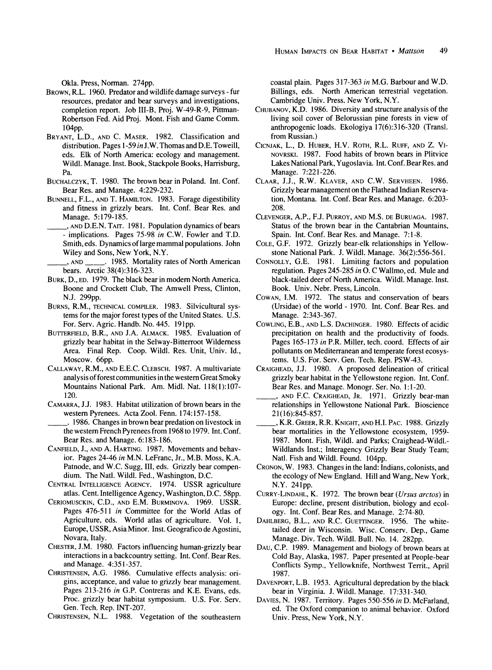**Okla. Press, Norman. 274pp.** 

- **BROWN, R.L. 1960. Predator and wildlife damage surveys fur resources, predator and bear surveys and investigations, completion report. Job III-B, Proj. W-49-R-9, Pittman-Robertson Fed. Aid Proj. Mont. Fish and Game Comm. 104pp.**
- **BRYANT, L.D., AND C. MASER. 1982. Classification and distribution. Pages 1-59 in J.W. Thomas and D.E. Toweill, eds. Elk of North America: ecology and management. Wildl. Manage. Inst. Book, Stackpole Books, Harrisburg, Pa.**
- **BUCHALCZYK, T. 1980. The brown bear in Poland. Int. Conf. Bear Res. and Manage. 4:229-232.**
- **BUNNELL, F.L., AND T. HAMILTON. 1983. Forage digestibility and fitness in grizzly bears. Int. Conf. Bear Res. and Manage. 5:179-185.**
- **\_ , AND D.E.N. TAIT. 1981. Population dynamics of bears - implications. Pages 75-98 in C.W. Fowler and T.D. Smith, eds. Dynamics of large mammal populations. John Wiley and Sons, New York, N.Y.** 
	- **, AND \_\_ . 1985. Mortality rates of North American bears. Arctic 38(4):316-323.**
- BURK, D., ED. 1979. The black bear in modern North America. **Boone and Crockett Club, The Amwell Press, Clinton, N.J. 299pp.**
- **BURNS, R.M., TECHNICAL COMPILER. 1983. Silvicultural systems for the major forest types of the United States. U.S. For. Serv. Agric. Handb. No. 445. 191pp.**
- **BUTTERFIELD, B.R., AND J.A. ALMACK. 1985. Evaluation of grizzly bear habitat in the Selway-Bitterroot Wilderness Area. Final Rep. Coop. Wildl. Res. Unit, Univ. Id., Moscow. 66pp.**
- **CALLAWAY, R.M., AND E.E.C. CLEBSCH. 1987. A multivariate analysis of forest communities in the western Great Smoky Mountains National Park. Am. Midi. Nat. 118(1):107- 120.**
- **CAMARRA, J.J. 1983. Habitat utilization of brown bears in the western Pyrenees. Acta Zool. Fenn. 174:157-158.**
- **\_\_\_ . 1986. Changes in brown bear predation on livestock in the western French Pyrenees from 1968 to 1979. Int. Conf. Bear Res. and Manage. 6:183-186.**
- **CANFIELD, J., AND A. HARTING. 1987. Movements and behavior. Pages 24-46 in M.N. LeFranc, Jr., M.B. Moss, K.A. Patnode, and W.C. Sugg, III, eds. Grizzly bear compendium. The Natl. Wildl. Fed., Washington, D.C.**
- **CENTRAL INTELLIGENCE AGENCY. 1974. USSR agriculture atlas. Cent. Intelligence Agency, Washington, D.C. 58pp.**
- **CERIOMUSCKIN, C.D., AND E.M. BURMINOVA. 1969. USSR. Pages 476-511 in Committee for the World Atlas of Agriculture, eds. World atlas of agriculture. Vol. 1, Europe, USSR, Asia Minor. Inst. Geografico de Agostini, Novara, Italy.**
- **CHESTER, J.M. 1980. Factors influencing human-grizzly bear interactions in a backcountry setting. Int. Conf. Bear Res. and Manage. 4:351-357.**
- **CHRISTENSEN, A.G. 1986. Cumulative effects analysis: origins, acceptance, and value to grizzly bear management. Pages 213-216 in G.P. Contreras and K.E. Evans, eds. Proc. grizzly bear habitat symposium. U.S. For. Serv. Gen. Tech. Rep. INT-207.**
- **CHRISTENSEN, N.L. 1988. Vegetation of the southeastern**

**coastal plain. Pages 317-363 in M.G. Barbour and W.D. Billings, eds. North American terrestrial vegetation. Cambridge Univ. Press. New York, N.Y.** 

- **CHUBANOV, K.D. 1986. Diversity and structure analysis of the living soil cover of Belorussian pine forests in view of anthropogenic loads. Ekologiya 17(6):316-320 (Transl. from Russian.)**
- **CICNJAK, L., D. HUBER, H.V. ROTH, R.L. RUFF, AND Z. VI-NOVRSKI. 1987. Food habits of brown bears in Plitvice Lakes National Park, Yugoslavia. Int. Conf. Bear Res. and Manage. 7:221-226.**
- **CLAAR, J.J., R.W. KLAVER, AND C.W. SERVHEEN. 1986. Grizzly bear management on the Flathead Indian Reservation, Montana. Int. Conf. Bear Res. and Manage. 6:203- 208.**
- **CLEVENGER, A.P., F.J. PURROY, AND M.S. DE BURUAGA. 1987. Status of the brown bear in the Cantabrian Mountains, Spain. Int. Conf. Bear Res. and Manage. 7:1-8.**
- **COLE, G.F. 1972. Grizzly bear-elk relationships in Yellowstone National Park. J. Wildl. Manage. 36(2):556-561.**
- **CONNOLLY, G.E. 1981. Limiting factors and population regulation. Pages 245-285 in 0. C Wallmo, ed. Mule and black-tailed deer of North America. Wildl. Manage. Inst. Book. Univ. Nebr. Press, Lincoln.**
- **COWAN, I.M. 1972. The status and conservation of bears (Ursidae) of the world - 1970. Int. Conf. Bear Res. and Manage. 2:343-367.**
- **COWLING, E.B., AND L.S. DACHINGER. 1980. Effects of acidic precipitation on health and the productivity of foods. Pages 165-173 in P.R. Miller, tech. coord. Effects of air pollutants on Mediterranean and temperate forest ecosystems. U.S. For. Serv. Gen. Tech. Rep. PSW-43.**
- **CRAIGHEAD, J.J. 1980. A proposed delineation of critical grizzly bear habitat in the Yellowstone region. Int. Conf. Bear Res. and Manage. Monogr. Ser. No. 1:1-20.**

**, AND F.C. CRAIGHEAD, JR. 1971. Grizzly bear-man relationships in Yellowstone National Park. Bioscience 21(16):845-857.** 

- **, K.R. GREER, R.R. KNIGHT, AND H.I. PAC. 1988. Grizzly bear mortalities in the Yellowstone ecosystem, 1959- 1987. Mont. Fish, Wildl. and Parks; Craighead-Wildl.- Wildlands Inst.; Interagency Grizzly Bear Study Team; Natl. Fish and Wildl. Found. 104pp.**
- **CRONON, W. 1983. Changes in the land: Indians, colonists, and the ecology of New England. Hill and Wang, New York, N.Y. 241pp.**
- **CURRY-LINDAHL, K. 1972. The brown bear (Ursus arctos) in Europe: decline, present distribution, biology and ecology. Int. Conf. Bear Res. and Manage. 2:74-80.**
- **DAHLBERG, B.L., AND R.C. GUETTINGER. 1956. The whitetailed deer in Wisconsin. Wisc. Conserv. Dep., Game Manage. Div. Tech. Wildl. Bull. No. 14. 282pp.**
- **DAU, C.P. 1989. Management and biology of brown bears at Cold Bay, Alaska, 1987. Paper presented at People-bear Conflicts Symp., Yellowknife, Northwest Territ., April 1987.**
- **DAVENPORT, L.B. 1953. Agricultural depredation by the black bear in Virginia. J. Wildl. Manage. 17:331-340.**
- **DAVIES, N. 1987. Territory. Pages 550-556 in D. McFarland, ed. The Oxford companion to animal behavior. Oxford Univ. Press, New York, N.Y.**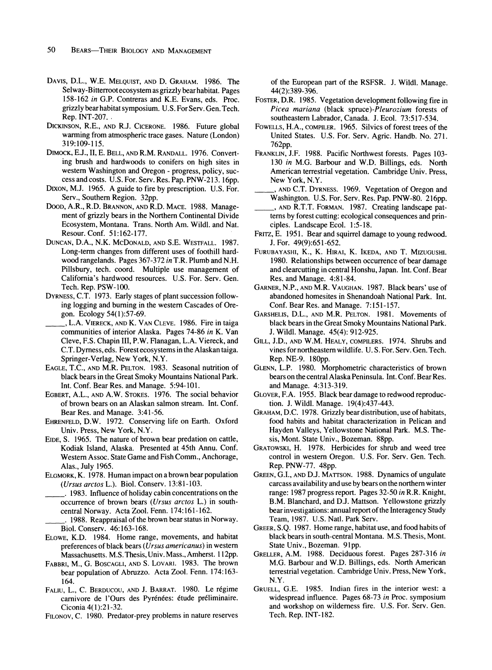- **DAVIS, D.L., W.E. MELQUIST, AND D. GRAHAM. 1986. The Selway-Bitterrootecosystem as grizzly bearhabitat. Pages 158-162 in G.P. Contreras and K.E. Evans, eds. Proc. grizzly bear habitat symposium. U.S. For Serv. Gen. Tech. Rep. INT-207. .**
- **DICKINSON, R.E., AND R.J. CICERONE. 1986. Future global warming from atmospheric trace gases. Nature (London) 319:109-115.**
- **DIMOCK, E.J., II, E. BELL, AND R.M. RANDALL. 1976. Converting brush and hardwoods to conifers on high sites in western Washington and Oregon - progress, policy, success and costs. U.S. For. Serv. Res. Pap. PNW-213.16pp.**
- **DIXON, M.J. 1965. A guide to fire by prescription. U.S. For. Serv., Southern Region. 32pp.**
- **DOOD, A.R., R.D. BRANNON, AND R.D. MACE. 1988. Management of grizzly bears in the Northern Continental Divide Ecosystem, Montana. Trans. North Am. Wildl. and Nat. Resour. Conf. 51:162-177.**
- **DUNCAN, D.A., N.K. MCDONALD, AND S.E. WESTFALL. 1987. Long-term changes from different uses of foothill hardwood rangelands. Pages 367-372 in T.R. Plumb and N.H. Pillsbury, tech. coord. Multiple use management of California's hardwood resources. U.S. For. Serv. Gen. Tech. Rep. PSW-100.**
- **DYRNESS, C.T. 1973. Early stages of plant succession following logging and burning in the western Cascades of Oregon. Ecology 54(1):57-69.**
- **\_\_ , L.A. VIERECK, AND K. VAN CLEVE. 1986. Fire in taiga communities of interior Alaska. Pages 74-86 in K. Van Cleve, F.S. Chapin III, P.W. Flanagan, L.A. Viereck, and C.T. Dyrness, eds. Forest ecosystems in the Alaskan taiga. Springer-Verlag, New York, N.Y.**
- **EAGLE, T.C., AND M.R. PELTON. 1983. Seasonal nutrition of black bears in the Great Smoky Mountains National Park. Int. Conf. Bear Res. and Manage. 5:94-101.**
- **EGBERT, A.L., AND A.W. STOKES. 1976. The social behavior of brown bears on an Alaskan salmon stream. Int. Conf. Bear Res. and Manage. 3:41-56.**
- **EHRENFELD, D.W. 1972. Conserving life on Earth. Oxford Univ. Press, New York, N.Y.**
- **EIDE, S. 1965. The nature of brown bear predation on cattle, Kodiak Island, Alaska. Presented at 45th Annu. Conf. Western Assoc. State Game and Fish Comm., Anchorage, Alas., July 1965.**
- **ELGMORK, K. 1978. Human impact on a brown bear population (Ursus arctos L.). Biol. Conserv. 13:81-103.** 
	- **\_ . 1983. Influence of holiday cabin concentrations on the occurrence of brown bears (Ursus arctos L.) in southcentral Norway. Acta Zool. Fenn. 174:161-162. \_ . 1988. Reappraisal of the brown bear status in Norway.**
	- **Biol. Conserv. 46:163-168.**
- **ELOWE, K.D. 1984. Home range, movements, and habitat preferences of black bears (Ursus americanus) in western Massachusetts. M.S. Thesis, Univ. Mass., Amherst. 112pp.**
- **FABBRI, M., G. BOSCAGLI, AND S. LOVARI. 1983. The brown bear population of Abruzzo. Acta Zool. Fenn. 174:163- 164.**
- **FALIU, L., C. BERDUCOU, AND J. BARRAT. 1980. Le regime**  carnivore de l'Ours des Pyrénées: étude préliminaire. **Ciconia 4(1):21-32.**
- **FILONOV, C. 1980. Predator-prey problems in nature reserves**

**of the European part of the RSFSR. J. Wildl. Manage. 44(2):389-396.** 

- **FOSTER, D.R. 1985. Vegetation development following fire in Picea mariana (black spruce)-Pleurozium forests of southeastern Labrador, Canada. J. Ecol. 73:517-534.**
- **FOWELLS, H.A., COMPILER. 1965. Silvics of forest trees of the United States. U.S. For. Serv. Agric. Handb. No. 271. 762pp.**
- **FRANKLIN, J.F. 1988. Pacific Northwest forests. Pages 103- 130 in M.G. Barbour and W.D. Billings, eds. North American terrestrial vegetation. Cambridge Univ. Press, New York, N.Y.**
- **, AND C.T. DYRNESS. 1969. Vegetation of Oregon and Washington. U.S. For. Serv. Res. Pap. PNW-80. 216pp.**
- **\_ , AND R.T.T. FORMAN. 1987. Creating landscape patterns by forest cutting: ecological consequences and principles. Landscape Ecol. 1:5-18.**
- **FRITZ, E. 1951. Bear and squirrel damage to young redwood. J. For. 49(9):651-652.**
- **FURUBAYASHI, K., K. HIRAI, K. IKEDA, AND T. MIZUGUSHI. 1980. Relationships between occurrence of bear damage and clearcutting in central Honshu, Japan. Int. Conf. Bear Res. and Manage. 4:81-84.**
- **GARNER, N.P., AND M.R. VAUGHAN. 1987. Black bears' use of abandoned homesites in Shenandoah National Park. Int. Conf. Bear Res. and Manage. 7:151-157.**
- **GARSHELIS, D.L., AND M.R. PELTON. 1981. Movements of black bears in the Great Smoky Mountains National Park. J. Wildl. Manage. 45(4): 912-925.**
- **GILL, J.D., AND W.M. HEALY, COMPILERS. 1974. Shrubs and vines for northeastern wildlife. U. S. For. Serv. Gen. Tech. Rep. NE-9. 180pp.**
- **GLENN, L.P. 1980. Morphometric characteristics of brown bears on the central Alaska Peninsula. Int. Conf. Bear Res. and Manage. 4:313-319.**
- **GLOVER, F.A. 1955. Black bear damage to redwood reproduction. J. Wildl. Manage. 19(4):437-443.**
- **GRAHAM, D.C. 1978. Grizzly bear distribution, use of habitats, food habits and habitat characterization in Pelican and Hayden Valleys, Yellowstone National Park. M.S. Thesis, Mont. State Univ., Bozeman. 88pp.**
- **GRATOWSKI, H. 1978. Herbicides for shrub and weed tree control in western Oregon. U.S. For. Serv. Gen. Tech. Rep. PNW-77. 48pp.**
- **GREEN, G.I., AND D.J. MATrSON. 1988. Dynamics of ungulate carcass availability and use by bears on the northern winter range: 1987 progress report. Pages 32-50 in R.R. Knight, B.M. Blanchard, and D.J. Mattson. Yellowstone grizzly bear investigations: annual report of the Interagency Study Team, 1987. U.S. Natl. Park Serv.**
- **GREER, S.Q. 1987. Home range, habitat use, and food habits of black bears in south-central Montana. M.S. Thesis, Mont. State Univ., Bozeman. 91pp.**
- **GRELLER, A.M. 1988. Deciduous forest. Pages 287-316 in M.G. Barbour and W.D. Billings, eds. North American terrestrial vegetation. Cambridge Univ. Press, New York, N.Y.**
- **GRUELL, G.E. 1985. Indian fires in the interior west: a widespread influence. Pages 68-73 in Proc. symposium and workshop on wilderness fire. U.S. For. Serv. Gen. Tech. Rep. INT-182.**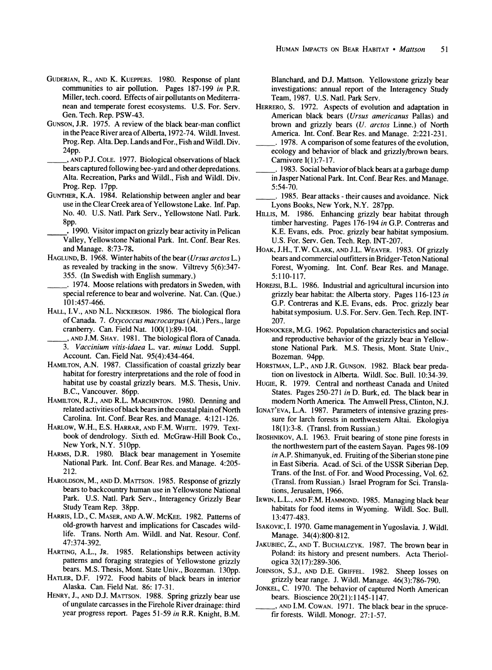- **GUDERIAN, R., AND K. KUEPPERS. 1980. Response of plant communities to air pollution. Pages 187-199 in P.R. Miller, tech. coord. Effects of air pollutants on Mediterranean and temperate forest ecosystems. U.S. For. Serv. Gen. Tech. Rep. PSW-43.**
- **GUNSON, J.R. 1975. A review of the black bear-man conflict in the Peace River area of Alberta, 1972-74. Wildl. Invest. Prog. Rep. Alta. Dep. Lands and For., Fish and Wildl. Div. 24pp.**
- **\_ , AND P.J. COLE. 1977. Biological observations of black bears captured following bee-yard and other depredations. Alta. Recreation, Parks and Wildl., Fish and Wildl. Div. Prog. Rep. 17pp.**
- **GUNTHER, K.A. 1984. Relationship between angler and bear use in the Clear Creek area of Yellowstone Lake. Inf. Pap. No. 40. U.S. Natl. Park Serv., Yellowstone Natl. Park. 8pp.**
- **. 1990. Visitor impact on grizzly bear activity in Pelican Valley, Yellowstone National Park. Int. Conf. Bear Res. and Manage. 8:73-78.**
- **HAGLUND, B. 1968. Winter habits of the bear (Ursus arctos L.) as revealed by tracking in the snow. Viltrevy 5(6):347- 355. (In Swedish with English summary.)**
- **. 1974. Moose relations with predators in Sweden, with special reference to bear and wolverine. Nat. Can. (Que.) 101:457-466.**
- **HALL, I.V., AND N.L. NICKERSON. 1986. The biological flora of Canada. 7. Oxycoccus macrocarpus (Ait.) Pers., large cranberry. Can. Field Nat. 100(1):89-104.**
- **, AND J.M. SHAY. 1981. The biological flora of Canada. 3. Vaccinium vitis-idaea L. var. minus Lodd. Suppl. Account. Can. Field Nat. 95(4):434-464.**
- **HAMILTON, A.N. 1987. Classification of coastal grizzly bear habitat for forestry interpretations and the role of food in habitat use by coastal grizzly bears. M.S. Thesis, Univ. B.C., Vancouver. 86pp.**
- **HAMILTON, R.J., AND R.L. MARCHINTON. 1980. Denning and related activities of black bears in the coastal plain of North Carolina. Int. Conf. Bear Res. and Manage. 4:121-126.**
- **HARLOW, W.H., E.S. HARRAR, AND F.M. WHITE. 1979. Textbook of dendrology. Sixth ed. McGraw-Hill Book Co., New York, N.Y. 510pp.**
- **HARMS, D.R. 1980. Black bear management in Yosemite National Park. Int. Conf. Bear Res. and Manage. 4:205- 212.**
- **HAROLDSON, M., AND D. MATTSON. 1985. Response of grizzly bears to backcountry human use in Yellowstone National Park. U.S. Natl. Park Serv., Interagency Grizzly Bear Study Team Rep. 38pp.**
- **HARRIS, I.D., C. MASER, AND A.W. MCKEE. 1982. Patterns of old-growth harvest and implications for Cascades wildlife. Trans. North Am. Wildl. and Nat. Resour. Conf. 47:374-392.**
- **HARTING, A.L., JR. 1985. Relationships between activity patterns and foraging strategies of Yellowstone grizzly bears. M.S. Thesis, Mont. State Univ., Bozeman. 130pp.**
- **HATLER, D.F. 1972. Food habits of black bears in interior Alaska. Can. Field Nat. 86: 17-31.**
- **HENRY, J., AND D.J. MATTSON. 1988. Spring grizzly bear use of ungulate carcasses in the Firehole River drainage: third year progress report. Pages 51-59 in R.R. Knight, B.M.**

**Blanchard, and D.J. Mattson. Yellowstone grizzly bear investigations: annual report of the Interagency Study Team, 1987. U.S. Natl. Park Serv.** 

- **HERRERO, S. 1972. Aspects of evolution and adaptation in American black bears (Ursus americanus Pallas) and brown and grizzly bears (U. arctos Linne.) of North America. Int. Conf. Bear Res. and Manage. 2:221-231.**
- **.1978. A comparison of some features of the evolution, ecology and behavior of black and grizzly/brown bears. Carnivore I(1):7-17.**
- **. 1983. Social behavior of black bears at a garbage dump in Jasper National Park. Int. Conf. Bear Res. and Manage. 5:54-70.**
- **. 1985. Bear attacks their causes and avoidance. Nick Lyons Books, New York, N.Y. 287pp.**
- **HILLIS, M. 1986. Enhancing grizzly bear habitat through timber harvesting. Pages 176-194 in G.P. Contreras and K.E. Evans, eds. Proc. grizzly bear habitat symposium. U.S. For. Serv. Gen. Tech. Rep. INT-207.**
- **HOAK, J.H., T.W. CLARK, AND J.L. WEAVER. 1983. Of grizzly bears and commercial outfitters in Bridger-Teton National Forest, Wyoming. Int. Conf. Bear Res. and Manage. 5:110-117.**
- **HOREJSI, B.L. 1986. Industrial and agricultural incursion into grizzly bear habitat: the Alberta story. Pages 116-123 in G.P. Contreras and K.E. Evans, eds. Proc. grizzly bear habitat symposium. U.S. For. Serv. Gen. Tech. Rep. INT-207.**
- **HORNOCKER, M.G. 1962. Population characteristics and social and reproductive behavior of the grizzly bear in Yellowstone National Park. M.S. Thesis, Mont. State Univ., Bozeman. 94pp.**
- **HORSTMAN, L.P., AND J.R. GUNSON. 1982. Black bear predation on livestock in Alberta. Wildl. Soc. Bull. 10:34-39.**
- **HUGIE, R. 1979. Central and northeast Canada and United States. Pages 250-271 in D. Burk, ed. The black bear in modern North America. The Amwell Press, Clinton, N.J.**
- **IGNAT'EVA, L.A. 1987. Parameters of intensive grazing pressure for larch forests in northwestern Altai. Ekologiya 18(1):3-8. (Transl. from Russian.)**
- **IROSHNIKOV, A.I. 1963. Fruit bearing of stone pine forests in the northwestern part of the eastern Sayan. Pages 98-109 in A.P. Shimanyuk, ed. Fruiting of the Siberian stone pine in East Siberia. Acad. of Sci. of the USSR Siberian Dep. Trans. of the Inst. of For. and Wood Processing, Vol. 62. (Transl. from Russian.) Israel Program for Sci. Translations, Jerusalem, 1966.**
- **IRWIN, L.L., AND F.M. HAMMOND. 1985. Managing black bear habitats for food items in Wyoming. Wildl. Soc. Bull. 13:477-483.**
- ISAKOVIC, I. 1970. Game management in Yugoslavia. J. Wildl. **Manage. 34(4):800-812.**
- **JAKUBIEC, Z., AND T. BUCHALCZYK. 1987. The brown bear in Poland: its history and present numbers. Acta Theriologica 32(17):289-306.**
- **JOHNSON, S.J., AND D.E. GRIFFEL. 1982. Sheep losses on grizzly bear range. J. Wildl. Manage. 46(3):786-790.**
- **JONKEL, C. 1970. The behavior of captured North American bears. Bioscience 20(21):1145-1147.** 
	- **, AND I.M. COWAN. 1971. The black bear in the sprucefir forests. Wildl. Monogr. 27:1-57.**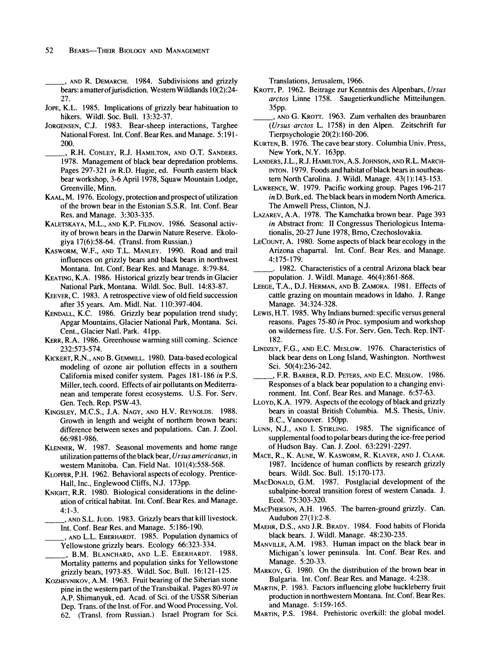**\_ ,AND R. DEMARCHI. 1984. Subdivisions and grizzly bears: amatterofjurisdiction. Western Wildlands 10(2):24- 27.** 

- **JOPE, K.L. 1985. Implications of grizzly bear habituation to hikers. Wildl. Soc. Bull. 13:32-37.**
- **JORGENSEN, C.J. 1983. Bear-sheep interactions, Targhee National Forest. Int. Conf. Bear Res. and Manage. 5:191- 200.**
- **, R.H. CONLEY, R.J. HAMILTON, AND O.T. SANDERS. 1978. Management of black bear depredation problems. Pages 297-321 in R.D. Hugie, ed. Fourth eastern black bear workshop, 3-6 April 1978, Squaw Mountain Lodge, Greenville, Minn.**
- **KAAL, M. 1976. Ecology, protection and prospect of utilization of the brown bear in the Estonian S.S.R. Int. Conf. Bear Res. and Manage. 3:303-335.**
- **KALETSKAYA, M.L., AND K.P. FILINOV. 1986. Seasonal activity of brown bears in the Darwin Nature Reserve. Ekologiya 17(6):58-64. (Transl. from Russian.)**
- **KASWORM, W.F., AND T.L. MANLEY. 1990. Road and trail influences on grizzly bears and black bears in northwest Montana. Int. Conf. Bear Res. and Manage. 8:79-84.**
- **KEATING, K.A. 1986. Historical grizzly bear trends in Glacier National Park, Montana. Wildl. Soc. Bull. 14:83-87.**
- **KEEVER, C. 1983. A retrospective view of old field succession after 35 years. Am. Midi. Nat. 110:397-404.**
- **KENDALL, K.C. 1986. Grizzly bear population trend study; Apgar Mountains, Glacier National Park, Montana. Sci. Cent., Glacier Natl. Park. 41pp.**
- **KERR, R.A. 1986. Greenhouse warming still coming. Science 232:573-574.**
- **KICKERT, R.N., AND B. GEMMILL. 1980. Data-based ecological modeling of ozone air pollution effects in a southern California mixed conifer system. Pages 181-186 in P.S. Miller, tech. coord. Effects of air pollutants on Mediterranean and temperate forest ecosystems. U.S. For. Serv. Gen. Tech. Rep. PSW-43.**
- **KINGSLEY, M.C.S., J.A. NAGY, AND H.V. REYNOLDS. 1988. Growth in length and weight of northern brown bears: difference between sexes and populations. Can. J. Zool. 66:981-986.**
- **KLENNER, W. 1987. Seasonal movements and home range utilization patterns of the black bear, Ursus americanus, in western Manitoba. Can. Field Nat. 101(4):558-568.**
- **KLOPFER, P.H. 1962. Behavioral aspects of ecology. Prentice-Hall, Inc., Englewood Cliffs, N.J. 173pp.**
- **KNIGHT, R.R. 1980. Biological considerations in the delineation of critical habitat. Int. Conf. Bear Res. and Manage. 4:1-3.**
- **, AND S.L. JUDD. 1983. Grizzly bears that kill livestock. Int. Conf. Bear Res. and Manage. 5:186-190.**
- **\_ , AND L.L. EBERHARDT. 1985. Population dynamics of Yellowstone grizzly bears. Ecology 66:323-334.**
- **, B.M. BLANCHARD, AND L.E. EBERHARDT. 1988. Mortality patterns and population sinks for Yellowstone grizzly bears, 1973-85. Wildl. Soc. Bull. 16:121-125.**
- **KOZHEVNIKOV, A.M. 1963. Fruit bearing of the Siberian stone pine in the western part of the Transbaikal. Pages 80-97 in A.P. Shimanyuk, ed. Acad. of Sci. of the USSR Siberian Dep. Trans. of the Inst. of For. and Wood Processing, Vol. 62. (Transl. from Russian.) Israel Program for Sci.**

**Translations, Jerusalem, 1966.** 

- **KROrr, P. 1962. Beitrage zur Kenntnis des Alpenbars, Ursus arctos Linne 1758. Saugetierkundliche Mitteilungen. 35pp.**
- **, AND G. KROTr. 1963. Zum verhalten des braunbaren (Ursus arctos L. 1758) in den Alpen. Zeitschrift fur Tierpsychologie 20(2):160-206.**
- **KURTEN, B. 1976. The cave bear story. Columbia Univ. Press, New York, N.Y. 163pp.**
- **LANDERS, J.L., R.J. HAMILTON, A.S. JOHNSON, AND R.L. MARCH-INTON. 1979. Foods and habitat of black bears in southeastern North Carolina. J. Wildl. Manage. 43(1):143-153.**
- **LAWRENCE, W. 1979. Pacific working group. Pages 196-217 in D. Burk, ed. The black bears in modern North America. The Amwell Press, Clinton, N.J.**
- **LAZAREV, A.A. 1978. The Kamchatka brown bear. Page 393 in Abstract from: II Congressus Theriologicus Internationalis, 20-27 June 1978, Brno, Czechoslovakia.**
- **LECOUNT, A. 1980. Some aspects of black bear ecology in the Arizona chaparral. Int. Conf. Bear Res. and Manage. 4:175-179.**
- **1982. Characteristics of a central Arizona black bear population. J. Wildl. Manage. 46(4):861-868.**
- **LEEGE, T.A., D.J. HERMAN, AND B. ZAMORA. 1981. Effects of cattle grazing on mountain meadows in Idaho. J. Range Manage. 34:324-328.**
- **LEWIS, H.T. 1985. Why Indians burned: specific versus general reasons. Pages 75-80 in Proc. symposium and workshop on wilderness fire. U.S. For. Serv. Gen. Tech. Rep. INT-182.**
- **LINDZEY, F.G., AND E.C. MESLOW. 1976. Characteristics of black bear dens on Long Island, Washington. Northwest Sci. 50(4):236-242.**
- **\_ , F.R. BARBER, R.D. PETERS, AND E.C. MESLOW. 1986. Responses of a black bear population to a changing environment. Int. Conf. Bear Res. and Manage. 6:57-63.**
- **LLOYD, K.A. 1979. Aspects of the ecology of black and grizzly bears in coastal British Columbia. M.S. Thesis, Univ. B.C., Vancouver. 150pp.**
- **LUNN, N.J., AND I. STIRLING. 1985. The significance of supplemental food to polar bears during the ice-free period of Hudson Bay. Can. J. Zool. 63:2291-2297.**
- **MACE, R., K. AUNE, W. KASWORM, R. KLAVER, AND J. CLAAR. 1987. Incidence of human conflicts by research grizzly bears. Wildl. Soc. Bull. 15:170-173.**
- **MACDONALD, G.M. 1987. Postglacial development of the subalpine-boreal transition forest of western Canada. J. Ecol. 75:303-320.**
- **MACPHERSON, A.H. 1965. The barren-ground grizzly. Can. Audubon 27(1):2-8.**
- **MAEHR, D.S., AND J.R. BRADY. 1984. Food habits of Florida black bears. J. Wildl. Manage. 48:230-235.**
- **MANVILLE, A.M. 1983. Human impact on the black bear in Michigan's lower peninsula. Int. Conf. Bear Res. and Manage. 5:20-33.**
- **MARKOV, G. 1980. On the distribution of the brown bear in Bulgaria. Int. Conf. Bear Res. and Manage. 4:238.**
- **MARTIN, P. 1983. Factors influencing globe huckleberry fruit production in northwestern Montana. Int. Conf. Bear Res. and Manage. 5:159-165.**
- **MARTIN, P.S. 1984. Prehistoric overkill: the global model.**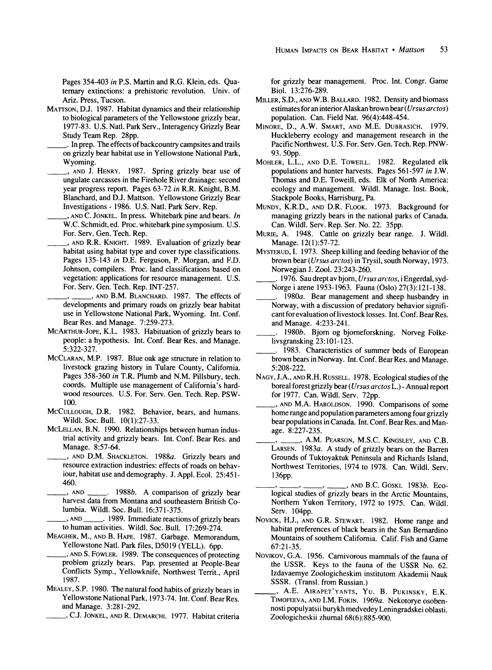**Pages 354403 in P.S. Martin and R.G. Klein, eds. Quaternary extinctions: a prehistoric revolution. Univ. of Ariz. Press, Tucson.** 

- **MATTSON, D.J. 1987. Habitat dynamics and their relationship to biological parameters of the Yellowstone grizzly bear, 1977-83. U.S. Natl. Park Serv., Interagency Grizzly Bear Study Team Rep. 28pp.** 
	- **\_\_ . In prep. The effects of backcountry campsites and trails on grizzly bear habitat use in Yellowstone National Park, Wyoming.**
- **, AND J. HENRY. 1987. Spring grizzly bear use of ungulate carcasses in the Firehole River drainage: second year progress report. Pages 63-72 in R.R. Knight, B.M. Blanchard, and D.J. Mattson. Yellowstone Grizzly Bear Investigations - 1986. U.S. Natl. Park Serv. Rep.** 
	- **, AND C. JONKEL. In press. Whitebark pine and bears. In W.C. Schmidt, ed. Proc. whitebark pine symposium. U.S. For. Serv. Gen. Tech. Rep.**
- **, AND R.R. KNIGHT. 1989. Evaluation of grizzly bear habitat using habitat type and cover type classifications. Pages 135-143 in D.E. Ferguson, P. Morgan, and F.D. Johnson, compilers. Proc. land classifications based on vegetation: applications for resource management. U.S. For. Serv. Gen. Tech. Rep. INT-257.**
- **\_ , \_\_ , AND B.M. BLANCHARD. 1987. The effects of developments and primary roads on grizzly bear habitat use in Yellowstone National Park, Wyoming. Int. Conf. Bear Res. and Manage. 7:259-273.**
- **MCARTHUR-JOPE, K.L. 1983. Habituation of grizzly bears to people: a hypothesis. Int. Conf. Bear Res. and Manage. 5:322-327.**
- **MCCLARAN, M.P. 1987. Blue oak age structure in relation to livestock grazing history in Tulare County, California. Pages 358-360 in T.R. Plumb and N.M. Pillsbury, tech. coords. Multiple use management of California's hardwood resources. U.S. For. Serv. Gen. Tech. Rep. PSW-100.**
- **MCCULLOUGH, D.R. 1982. Behavior, bears, and humans. Wildl. Soc. Bull. 10(1):27-33.**
- **MCLELLAN, B.N. 1990. Relationships between human industrial activity and grizzly bears. Int. Conf. Bear Res. and Manage. 8:57-64.**
- **, AND D.M. SHACKLETON. 1988a. Grizzly bears and resource extraction industries: effects of roads on behaviour, habitat use and demography. J. Appl. Ecol. 25:451- 460.**
- **, AND . 1988b. A comparison of grizzly bear harvest data from Montana and southeastern British Columbia. Wildl. Soc. Bull. 16:371-375.**
- **, AND . 1989. Immediate reactions of grizzly bears to human activities. Wildl. Soc. Bull. 17:269-274.**
- **MEAGHER, M., AND B. HAPE. 1987. Garbage. Memorandum, Yellowstone Natl. Park files, D5019 (YELL). 6pp.**
- **, AND S. FOWLER. 1989. The consequences of protecting problem grizzly bears. Pap. presented at People-Bear Conflicts Symp., Yellowknife, Northwest Territ., April 1987.**
- **MEALEY, S.P. 1980. The natural food habits of grizzly bears in Yellowstone National Park, 1973-74. Int. Conf. Bear Res. and Manage. 3:281-292.** 
	- **\_ , C.J. JONKEL, AND R. DEMARCHI. 1977. Habitat criteria**

**for grizzly bear management. Proc. Int. Congr. Game Biol. 13:276-289.** 

- **MILLER, S.D., AND W.B. BALLARD. 1982. Density and biomass estimates for an interior Alaskan brown bear (Ursus arctos) population. Can. Field Nat. 96(4):448-454.**
- **MINORE, D., A.W. SMART, AND M.E. DUBRASICH. 1979. Huckleberry ecology and management research in the Pacific Northwest. U.S. For. Serv. Gen. Tech. Rep. PNW-93. 50pp.**
- **MOHLER, L.L., AND D.E. TOWEILL. 1982. Regulated elk populations and hunter harvests. Pages 561-597 in J.W. Thomas and D.E. Toweill, eds. Elk of North America: ecology and management. Wildl. Manage. Inst. Book, Stackpole Books, Harrisburg, Pa.**
- **MUNDY, K.R.D., AND D.R. FLOOK. 1973. Background for managing grizzly bears in the national parks of Canada. Can. Wildl. Serv. Rep. Ser. No. 22. 35pp.**
- **MURIE, A. 1948. Cattle on grizzly bear range. J. Wildl. Manage. 12(1):57-72.**
- **MYSTERUD, I. 1973. Sheep killing and feeding behavior of the brown bear (Ursus arctos) in Trysil, south Norway, 1973. Norwegian J. Zool. 23:243-260.**
- **\_\_\_ . 1976. Sau drept av bjorn, Ursus arctos, i Engerdal, syd-Norge i arene 1953-1963. Fauna (Oslo) 27(3):121-138.**
- **\_\_\_ . 1980a. Bear management and sheep husbandry in Norway, with a discussion of predatory behavior significant for evaluation of livestock losses. Int. Conf. Bear Res. and Manage. 4:233-241.**
- **\_\_ . 1980b. Bjorn og bjorneforskning. Norveg Folkelivsgransking 23:101-123.**
- **.1983. Characteristics of summer beds of European brown bears in Norway. Int. Conf. Bear Res. and Manage. 5:208-222.**
- **NAGY, J.A., AND R.H. RUSSELL. 1978. Ecological studies of the boreal forest grizzly bear (Ursus arctos L.) - Annual report for 1977. Can. Wildl. Serv. 72pp.**
- **, AND M.A. HAROLDSON. 1990. Comparisons of some home range and population parameters among four grizzly bear populations in Canada. Int. Conf. BearRes. and Manage. 8:227-235.**
- **, \_\_, A.M. PEARSON, M.S.C. KINGSLEY, AND C.B. LARSEN. 1983a. A study of grizzly bears on the Barren Grounds of Tuktoyaktuk Peninsula and Richards Island, Northwest Territories, 1974 to 1978. Can. Wildl. Serv. 136pp.** 
	- **, \_, , , AND B.C. GOSKI. 1983b. Ecological studies of grizzly bears in the Arctic Mountains, Northern Yukon Territory, 1972 to 1975. Can. Wildl. Serv. 104pp.**
- **NOVICK, H.J., AND G.R. STEWART. 1982. Home range and habitat preferences of black bears in the San Bernardino Mountains of southern California. Calif. Fish and Game 67:21-35.**
- NovIKOV, G.A. 1956. Carnivorous mammals of the fauna of **the USSR. Keys to the fauna of the USSR No. 62. Izdavaemye Zoologicheskim institutom Akademii Nauk SSSR. (Transl. from Russian.)**
- **, A.E. AIRAPET'YANTS, YU. B. PUKINSKY, E.K. TIMOFEEVA, AND I.M. FOKIN. 1969a. Nekotorye osobennosti populyatsii burykh medvedey Leningradskei oblasti. Zoologicheskii zhurnal 68(6):885-900.**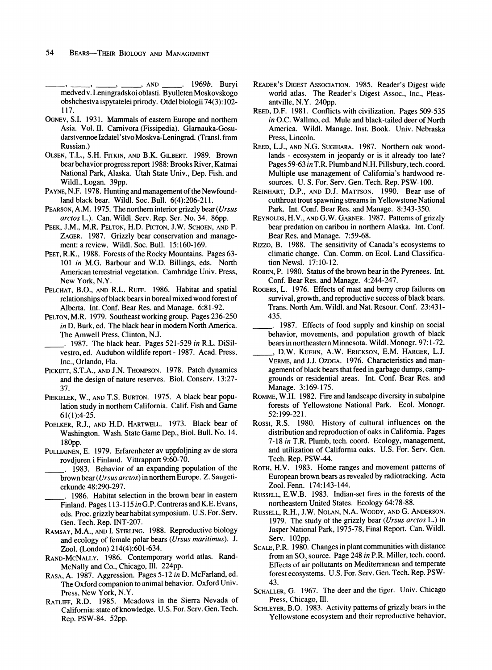**\_\_\_ , \_ , \_ , , AND \_ . 1969b. Buryi medved v. Leningradskoi oblasti. Byulleten Moskovskogo obshchestva ispytatelei prirody. Otdel biologii 74(3): 102- 117.** 

- **OGNEV, S.I. 1931. Mammals of eastern Europe and northern Asia. Vol. II. Carnivora (Fissipedia). Glarnauka-Gosudarstvennoe Izdatel'stvo Moskva-Leningrad. (Transl. from Russian.)**
- **OLSEN, T.L., S.H. FITKIN, AND B.K. GILBERT. 1989. Brown bear behavior progress report 1988: Brooks River, Katmai National Park, Alaska. Utah State Univ., Dep. Fish. and Wildl., Logan. 39pp.**
- **PAYNE, N.F. 1978. Hunting and management of the Newfoundland black bear. Wildl. Soc. Bull. 6(4):206-211.**
- **PEARSON, A.M. 1975. The northern interior grizzly bear (Ursus arctos L.). Can. Wildl. Serv. Rep. Ser. No. 34. 86pp.**
- PEEK, J.M., M.R. PELTON, H.D. PICTON, J.W. SCHOEN, AND P. **ZAGER. 1987. Grizzly bear conservation and management: a review. Wildl. Soc. Bull. 15:160-169.**
- **PEET, R.K., 1988. Forests of the Rocky Mountains. Pages 63- 101 in M.G. Barbour and W.D. Billings, eds. North American terrestrial vegetation. Cambridge Univ. Press, New York, N.Y.**
- **PELCHAT, B.O., AND R.L. RUFF. 1986. Habitat and spatial relationships of black bears in boreal mixed wood forest of Alberta. Int. Conf. Bear Res. and Manage. 6:81-92.**
- **PELTON, M.R. 1979. Southeast working group. Pages 236-250 in D. Burk, ed. The black bear in modern North America. The Amwell Press, Clinton, N.J.** 
	- **\_\_\_ . 1987. The black bear. Pages 521-529 in R.L. DiSilvestro, ed. Audubon wildlife report - 1987. Acad. Press, Inc., Orlando, Fla.**
- **PICKETT, S.T.A., AND J.N. THOMPSON. 1978. Patch dynamics and the design of nature reserves. Biol. Conserv. 13:27- 37.**
- PIEKIELEK, W., AND T.S. BURTON. 1975. A black bear popu**lation study in northern California. Calif. Fish and Game 61(1):4-25.**
- POELKER, R.J., AND H.D. HARTWELL. 1973. Black bear of **Washington. Wash. State Game Dep., Biol. Bull. No. 14. 180pp.**
- **PULLIAINEN, E. 1979. Erfarenheter av uppfoljning av de stora rovdjuren i Finland. Vittrapport 9:60-70.**
- **\_\_\_ . 1983. Behavior of an expanding population of the brown bear (Ursus arctos) in northern Europe. Z. Saugetierkunde 48:290-297.**
- **1986. Habitat selection in the brown bear in eastern Finland. Pages 113-115 in G.P. Contreras and K.E. Evans, eds. Proc. grizzly bear habitat symposium. U.S. For. Serv. Gen. Tech. Rep. INT-207.**
- **RAMSAY, M.A., AND I. STIRLING. 1988. Reproductive biology and ecology of female polar bears (Ursus maritimus). J. Zool. (London) 214(4):601-634.**
- **RAND-MCNALLY. 1986. Contemporary world atlas. Rand-McNally and Co., Chicago, Ill. 224pp.**
- **RASA, A. 1987. Aggression. Pages 5-12 in D. McFarland, ed. The Oxford companion to animal behavior. Oxford Univ. Press, New York, N.Y.**
- **RATLIFF, R.D. 1985. Meadows in the Sierra Nevada of California: state of knowledge. U.S. For. Serv. Gen. Tech. Rep. PSW-84. 52pp.**
- **READER'S DIGEST ASSOCIATION. 1985. Reader's Digest wide world atlas. The Reader's Digest Assoc., Inc., Pleasantville, N.Y. 240pp.**
- **REED, D.F. 1981. Conflicts with civilization. Pages 509-535 in O.C. Wallmo, ed. Mule and black-tailed deer of North America. Wildl. Manage. Inst. Book. Univ. Nebraska Press, Lincoln.**
- **REED, L.J., AND N.G. SUGIHARA. 1987. Northern oak woodlands - ecosystem in jeopardy or is it already too late? Pages 59-63 in T.R. Plumb and N.H. Pillsbury, tech. coord. Multiple use management of California's hardwood resources. U. S. For. Serv. Gen. Tech. Rep. PSW-100.**
- **REINHART, D.P., AND D.J. MATTSON. 1990. Bear use of cutthroat rout spawning streams in Yellowstone National Park. Int. Conf. Bear Res. and Manage. 8:343-350.**
- **REYNOLDS, H.V., AND G.W. GARNER. 1987. Patterns of grizzly bear predation on caribou in northern Alaska. Int. Conf. Bear Res. and Manage. 7:59-68.**
- **Rizzo, B. 1988. The sensitivity of Canada's ecosystems to climatic change. Can. Comm. on Ecol. Land Classification Newsl. 17:10-12.**
- **ROBEN, P. 1980. Status of the brown bear in the Pyrenees. Int. Conf. Bear Res. and Manage. 4:244-247.**
- **ROGERS, L. 1976. Effects of mast and berry crop failures on survival, growth, and reproductive success of black bears. Trans. North Am. Wildl. and Nat. Resour. Conf. 23:431- 435.**
- **\_\_\_ . 1987. Effects of food supply and kinship on social behavior, movements, and population growth of black bears in northeastern Minnesota. Wildl. Monogr. 97:1-72. \_ , D.W. KUEHN, A.W. ERICKSON, E.M. HARGER, L.J.**
- **VERME, and J.J. OZOGA. 1976. Characteristics and management of black bears that feed in garbage dumps, campgrounds or residential areas. Int. Conf. Bear Res. and Manage. 3:169-175.**
- **ROMME, W.H. 1982. Fire and landscape diversity in subalpine forests of Yellowstone National Park. Ecol. Monogr. 52:199-221.**
- **RossI, R.S. 1980. History of cultural influences on the distribution and reproduction of oaks in California. Pages 7-18 in T.R. Plumb, tech. coord. Ecology, management, and utilization of California oaks. U.S. For. Serv. Gen. Tech. Rep. PSW-44.**
- **ROTH, H.V. 1983. Home ranges and movement patterns of European brown bears as revealed by radiotracking. Acta Zool. Fenn. 174:143-144.**
- **RUSSELL, E.W.B. 1983. Indian-set fires in the forests of the northeastern United States. Ecology 64:78-88.**
- **RUSSELL, R.H., J.W. NOLAN, N.A. WOODY, AND G. ANDERSON. 1979. The study of the grizzly bear (Ursus arctos L.) in Jasper National Park, 1975-78, Final Report. Can. Wildl. Serv. 102pp.**
- **SCALE, P.R. 1980. Changes in plant communities with distance**  from an SO<sub>2</sub> source. Page 248 in P.R. Miller, tech. coord. **Effects of air pollutants on Mediterranean and temperate forest ecosystems. U.S. For. Serv. Gen. Tech. Rep. PSW-43.**
- **SCHALLER, G. 1967. The deer and the tiger. Univ. Chicago Press, Chicago, Ill.**
- **SCHLEYER, B.O. 1983. Activity patterns of grizzly bears in the Yellowstone ecosystem and their reproductive behavior,**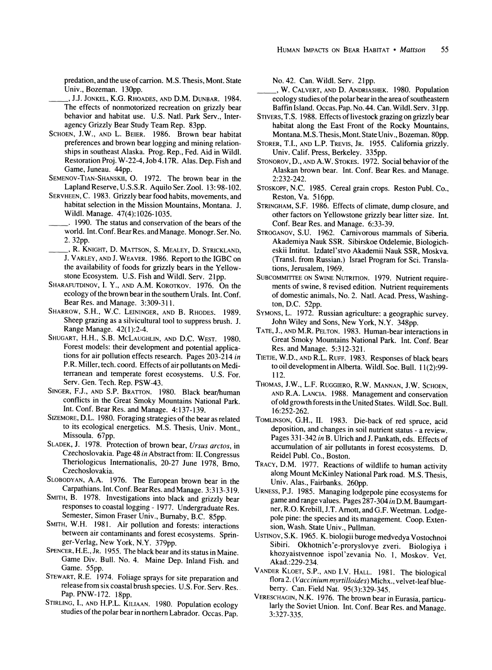**predation, and the use of carrion. M.S. Thesis, Mont. State Univ., Bozeman. 130pp.** 

- **, J.J. JONKEL, K.G. RHOADES, AND D.M. DUNBAR. 1984. The effects of nonmotorized recreation on grizzly bear behavior and habitat use. U.S. Natl. Park Serv., Interagency Grizzly Bear Study Team Rep. 83pp.**
- **SCHOEN, J.W., AND L. BEIER. 1986. Brown bear habitat preferences and brown bear logging and mining relationships in southeast Alaska. Prog. Rep., Fed. Aid in Wildl. Restoration Proj. W-22-4, Job 4.17R. Alas. Dep. Fish and Game, Juneau. 44pp.**
- **SEMENOV-TIAN-SHANSKII, 0. 1972. The brown bear in the Lapland Reserve, U.S.S.R. Aquilo Ser. Zool. 13:98-102.**
- **SERVHEEN, C. 1983. Grizzly bear food habits, movements, and habitat selection in the Mission Mountains, Montana. J. Wildl. Manage. 47(4):1026-1035.**
- **. 1990. The status and conservation of the bears of the world. Int. Conf. BearRes. and Manage. Monogr. Ser. No. 2. 32pp.**
- **, R. KNIGHT, D. MATTSON, S. MEALEY, D. STRICKLAND, J. VARLEY, AND J. WEAVER. 1986. Report to the IGBC on the availability of foods for grizzly bears in the Yellowstone Ecosystem. U.S. Fish and Wildl. Serv. 21pp.**
- **SHARAFUTDINOV, I. Y., AND A.M. KOROTKOV. 1976. On the ecology of the brown bear in the southern Urals. Int. Conf. Bear Res. and Manage. 3:309-311.**
- **SHARROW, S.H., W.C. LEININGER, AND B. RHODES. 1989. Sheep grazing as a silvicultural tool to suppress brush. J. Range Manage. 42(1):2-4.**
- **SHUGART, H.H., S.B. MCLAUGHLIN, AND D.C. WEST. 1980. Forest models: their development and potential applications for air pollution effects research. Pages 203-214 in P.R. Miller, tech. coord. Effects of air pollutants on Mediterranean and temperate forest ecosystems. U.S. For. Serv. Gen. Tech. Rep. PSW-43.**
- **SINGER, F.J., AND S.P. BRATTON. 1980. Black bear/human conflicts in the Great Smoky Mountains National Park. Int. Conf. Bear Res. and Manage. 4:137-139.**
- **SIZEMORE, D.L. 1980. Foraging strategies of the bear as related to its ecological energetics. M.S. Thesis, Univ. Mont., Missoula. 67pp.**
- **SLADEK, J. 1978. Protection of brown bear, Ursus arctos, in Czechoslovakia. Page 48 in Abstract from: II. Congressus Theriologicus Internationalis, 20-27 June 1978, Brno, Czechoslovakia.**
- **SLOBODYAN, A.A. 1976. The European brown bear in the Carpathians. Int. Conf. Bear Res. and Manage. 3:313-319.**
- **SMITH, B. 1978. Investigations into black and grizzly bear responses to coastal logging - 1977. Undergraduate Res. Semester, Simon Fraser Univ., Burnaby, B.C. 85pp.**
- **SMITH, W.H. 1981. Air pollution and forests: interactions between air contaminants and forest ecosystems. Springer-Verlag, New York, N.Y. 379pp.**
- **SPENCER, H.E., JR. 1955. The black bear and its status in Maine. Game Div. Bull. No. 4. Maine Dep. Inland Fish. and Game. 55pp.**
- **STEWART, R.E. 1974. Foliage sprays for site preparation and release from six coastal brush species. U.S. For. Serv. Res.**  Pap. PNW-172. 18pp.<br>STIRLING, I., AND H.P.L. KILIAAN. 1980. Population ecology
- studies of the polar bear in northern Labrador. Occas. Pap.

**No. 42. Can. Wildl. Serv. 21pp.** 

- **, W. CALVERT, AND D. ANDRIASHEK. 1980. Population ecology studies of the polar bear in the area of southeastern Baffin Island. Occas. Pap. No. 44. Can. Wildl. Serv. 31 pp.**
- **STIVERS, T.S. 1988. Effects of livestock grazing on grizzly bear habitat along the East Front of the Rocky Mountains, Montana. M.S. Thesis, Mont. State Univ., Bozeman. 80pp.**
- **STORER, T.I., AND L.P. TREVIS, JR. 1955. California grizzly. Univ. Calif. Press, Berkeley. 335pp.**
- **STONOROV, D., AND A.W. STOKES. 1972. Social behavior of the Alaskan brown bear. Int. Conf. Bear Res. and Manage. 2:232-242.**
- **STOSKOPF, N.C. 1985. Cereal grain crops. Reston Publ. Co., Reston, Va. 516pp.**
- **STRINGHAM, S.F. 1986. Effects of climate, dump closure, and other factors on Yellowstone grizzly bear litter size. Int. Conf. Bear Res. and Manage. 6:33-39.**
- **STROGANOV, S.U. 1962. Carnivorous mammals of Siberia. Akademiya Nauk SSR. Sibirskoe Otdelemie, Biologicheskii Intitut. Izdatel'stvo Akademii Nauk SSR, Moskva. (Transl. from Russian.) Israel Program for Sci. Translations, Jerusalem, 1969.**
- **SUBCOMMITTEE ON SWINE NUTRITION. 1979. Nutrient requirements of swine, 8 revised edition. Nutrient requirements of domestic animals, No. 2. Natl. Acad. Press, Washington, D.C. 52pp.**
- **SYMONS, L. 1972. Russian agriculture: a geographic survey. John Wiley and Sons, New York, N.Y. 348pp.**
- **TATE, J., AND M.R. PELTON. 1983. Human-bear interactions in Great Smoky Mountains National Park. Int. Conf. Bear Res. and Manage. 5:312-321.**
- **TIETJE, W.D., AND R.L. RUFF. 1983. Responses of black bears to oil development in Alberta. Wildl. Soc. Bull. 1 (2):99- 112.**
- **THOMAS, J.W., L.F. RUGGIERO, R.W. MANNAN, J.W. SCHOEN, AND R.A. LANCIA. 1988. Management and conservation of old growth forests in the United States. Wildl. Soc. Bull. 16:252-262.**
- **TOMLINSON, G.H., II. 1983. Die-back of red spruce, acid deposition, and changes in soil nutrient status - a review. Pages 331-342 in B. Ulrich and J. Pankath, eds. Effects of accumulation of air pollutants in forest ecosystems. D. Reidel Publ. Co., Boston.**
- **TRACY, D.M. 1977. Reactions of wildlife to human activity along Mount McKinley National Park road. M.S. Thesis, Univ. Alas., Fairbanks. 260pp.**
- **URNESS, P.J. 1985. Managing lodgepole pine ecosystems for game and range values. Pages 287-304 in D.M. Baumgartner, R.O. Krebill, J.T. Arott, and G.F. Weetman. Lodgepole pine: the species and its management. Coop. Extension, Wash. State Univ., Pullman.**
- **USTINOV, S.K. 1965. K. biologii buroge medvedya Vostochnoi Sibiri. Okhotnich'e-proryslovye zveri. Biologiya i khozyaistvennoe ispol'zevania No. 1, Moskov. Vet. Akad.:229-234.**
- **VANDER KLOET, S.P., AND I.V. HALL. 1981. The biological flora 2. (Vaccinium myrtilloides) Michx., velvet-leaf blueberry. Can. Field Nat. 95(3):329-345.**
- **VERESCHAGIN, N.K. 1976. The brown bear in Eurasia, particularly the Soviet Union. Int. Conf. Bear Res. and Manage. 3:327-335.**